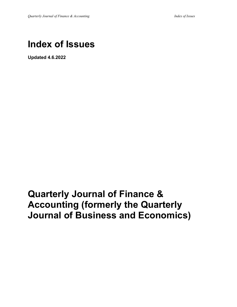# **Index of Issues**

**Updated 4.6.2022**

# **Quarterly Journal of Finance & Accounting (formerly the Quarterly Journal of Business and Economics)**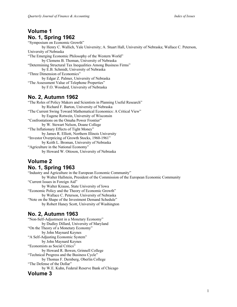## **Volume 1 No. 1, Spring 1962**

"Symposium on Economic Growth" by Henry C. Wallich, Yale University; A. Stuart Hall, University of Nebraska; Wallace C. Peterson, University of Nebraska "The Emerging Economic Philosophy of the Western World" by Clemens B. Thoman, University of Nebraska "Determining Structural Tax Inequalities Among Business Firms" by E.B. Schmidt, University of Nebraska "Three Dimension of Economics" by Edgar Z. Palmer, University of Nebraska "The Assessment Value of Telephone Properties" by F.O. Woodard, University of Nebraska

## **No. 2, Autumn 1962**

"The Roles of Policy Makers and Scientists in Planning Useful Research" by Richard F. Barton, University of Nebraska "The Current Swing Toward Mathematical Economics: A Critical View" by Eugene Rotwein, University of Wisconsin "Confrontations on the Omaha Power Frontier" by W. Stewart Nelson, Doane College "The Inflationary Effects of Tight Money" by James R. Elliott, Northern Illinois University "Investor Overpricing of Growth Stocks, 1960-1961" by Keith L. Broman, University of Nebraska "Agriculture in the National Economy" by Howard W. Ottoson, University of Nebraska

## **Volume 2 No. 1, Spring 1963**

"Industry and Agriculture in the European Economic Community" by Walter Hallstein, President of the Commission of the European Economic Community "Current Issues in Foreign Aid" by Walter Krause, State University of Iowa "Economic Policy and the Theory of Economic Growth" by Wallace C. Peterson, University of Nebraska "Note on the Shape of the Investment Demand Schedule" by Robert Haney Scott, University of Washington

## **No. 2, Autumn 1963**

"Non-Self-Adjustment in a Monetary Economy" by Dudley Dillard, University of Maryland "On the Theory of a Monetary Economy" by John Maynard Keynes "A Self-Adjusting Economic System" by John Maynard Keynes "Economists as Social Critics" by Howard R. Bowen, Grinnell College "Technical Progress and the Business Cycle" by Thomas F. Dernberg, Oberlin College "The Defense of the Dollar" by W.E. Kuhn, Federal Reserve Bank of Chicago **Volume 3**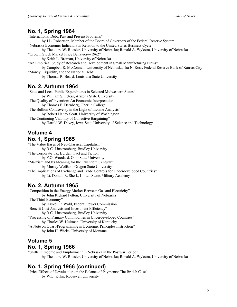#### **No. 1, Spring 1964**

"International Debt: Past and Present Problems" by J.L. Robertson, Member of the Board of Governors of the Federal Reserve System "Nebraska Economic Indicators in Relation to the United States Business Cycle" by Theodore W. Roesler, University of Nebraska; Ronald A. Wykstra, University of Nebraska "Growth Stock Market Price Behavior—1962" by Keith L. Broman, University of Nebraska "An Empirical Study of Research and Development in Small Manufacturing Firms" by Campbell R. McConnell, University of Nebraska; Ira N. Ross, Federal Reserve Bank of Kansas City "Money, Liquidity, and the National Debt" by Thomas R. Beard, Louisiana State University

#### **No. 2, Autumn 1964**

"State and Local Public Expenditures in Selected Midwestern States" by William S. Peters, Arizona State University "The Quality of Invention: An Economic Interpretation" by Thomas F. Dernberg, Oberlin College "The Bullion Controversy in the Light of Income Analysis" by Robert Haney Scott, University of Washington "The Continuing Viability of Collective Bargaining" by Harold W. Davey, Iowa State University of Science and Technology

#### **Volume 4 No. 1, Spring 1965**

"The Value Bases of Neo-Classical Capitalism" by R.C. Linstromberg, Bradley University "The Corporate Tax Burden: Fact and Fiction" by F.O. Woodard, Ohio State University "Marxism and Its Meaning for the Twentieth Century" by Murray Wolfson, Oregon State University "The Implications of Exchange and Trade Controls for Underdeveloped Countries" by Lt. Donald R. Sherk, United States Military Academy

#### **No. 2, Autumn 1965**

"Competition in the Energy Market Between Gas and Electricity" by John Richard Felton, University of Nebraska "The Third Economy" by Haskell P. Wald, Federal Power Commission "Benefit Cost Analysis and Investment Efficiency" by R.C. Linstromberg, Bradley University "Processing of Primary Commodities in Underdeveloped Countries" by Charles W. Hultman, University of Kentucky "A Note on Quasi-Programming in Economic Principles Instruction" by John H. Wicks, University of Montana

## **Volume 5**

#### **No. 1, Spring 1966**

"Shifts in Income and Employment in Nebraska in the Postwar Period" by Theodore W. Roesler, University of Nebraska; Ronald A. Wykstra, University of Nebraska

## **No. 1, Spring 1966 (continued)**

"Price Effects of Devaluation on the Balance of Payments: The British Case" by W.E. Kuhn, Roosevelt University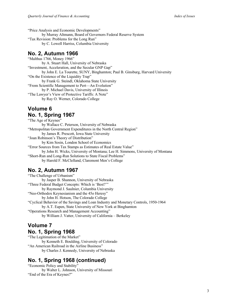"Price Analysis and Economic Developments" by Murray Altmann, Board of Governors Federal Reserve System "Tax Revision: Problems for the Long Run" by C. Lowell Harriss, Columbia University

#### **No. 2, Autumn 1966**

"Malthus 1766, Money 1966" by A. Stuart Hall, University of Nebraska "Investment, Acceleration, and the Secular GNP Gap" by John E. La Tourette, SUNY, Binghamton; Paul B. Ginsburg, Harvard University "On the Existence of the Liquidity Trap" by Frank G. Steindl, Oklahoma State University "From Scientific Management to Pert—An Evolution" by P. Michael Davis, University of Illinois "The Lawyer's View of Protective Tariffs: A Note" by Ray O. Werner, Colorado College

#### **Volume 6 No. 1, Spring 1967**

"The Age of Keynes" by Wallace C. Peterson, University of Nebraska "Metropolitan Government Expenditures in the North Central Region" by James R. Prescott, Iowa State University "Joan Robinson's Theory of Distribution" by Kim Sosin, London School of Economics "Error Sources from Tax Stamps as Estimates of Real Estate Value" by John H. Wicks, University of Montana; Lee H. Simmons, University of Montana "Short-Run and Long-Run Solutions to State Fiscal Problems" by Harold F. McClelland, Claremont Men's College

## **No. 2, Autumn 1967**

"The Challenge of Urbanism" by Jasper B. Shannon, University of Nebraska "Three Federal Budget Concepts: Which is 'Best?'" by Raymond J. Saulnier, Columbia University "Neo-Orthodox Keynesianism and the 45o Heresy" by John H. Hotson, The Colorado College "Cyclical Behavior of the Savings and Loan Industry and Monetary Controls, 1950-1964 by A.T. Eapen, State University of New York at Binghamton "Operations Research and Management Accounting" by William J. Vatter, University of California – Berkeley

# **Volume 7**

#### **No. 1, Spring 1968**

"The Legitimation of the Market" by Kenneth E. Boulding, University of Colorado "An American Railroad in the Airline Business" by Charles J. Kennedy, University of Nebraska

## **No. 1, Spring 1968 (continued)**

"Economic Policy and Stability" by Walter L. Johnson, University of Missouri "End of the Era of Keynes?"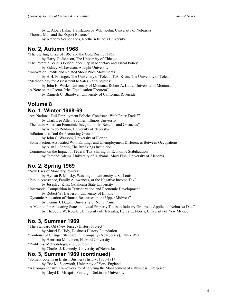by L. Albert Hahn, Translation by W.E. Kuhn, University of Nebraska "Thomas Mun and the Export Balance" by Anthony Scaperlanda, Northern Illinois University

## **No. 2, Autumn 1968**

"The Sterling Crisis of 1967 and the Gold Rush of 1968" by Harry G. Johnson, The University of Chicago "The Potential Versus Performance Gap in Monetary and Fiscal Policy" by Sidney M. Leveson, Adelphi University "Innovation Profits and Related Stock Price Movements" by H.H. Frisinger, The University of Toledo; T.A. Klein, The University of Toledo "Methodology for Assessment to Sales Ratio Studies" by John H. Wicks, University of Montana; Robert A. Little, University of Montana "A Note on the Factor-Price Equalization Theorem"

by Ramesh C. Bhardwaj, University of California, Riverside

# **Volume 8**

#### **No. 1, Winter 1968-69**

"Are National Full-Employment Policies Consistent With Freer Trade?" by Clark Lee Allen, Southern Illinois University "The Latin American Economic Integration: Its Benefits and Obstacles" by Alfredo Roldan, University of Nebraska "Inflation as a Tool for Promoting Growth" by John C. Wassom, University of Florida "Some Factors Associated With Earnings and Unemployment Differences Between Occupations" by Alan L. Sorkin, The Brookings Institution "Comments on the Impact of Federal Tax-Sharing on Economic Stabilization" by Esmond Adams, University of Alabama; Mary Fish, University of Alabama

## **No. 2, Spring 1969**

"New Uses of Monetary Powers" by Hyman P. Minsky, Washington University at St. Louis "Public Assistance, Family Allowances, or the Negative Income Tax" by Joseph J. Klos, Oklahoma State University "Intermodal Competition in Transportation and Economic Development" by Robert W. Harbeson, University of Illinois

"Dynamic Allocation of Human Resources in the Upper Midwest"

by Dennis J. Dugan, University of Notre Dame

"A Method for Allocating State and Local Property Taxes to Industry Groups as Applied to Nebraska Data" by Theodore W. Roesler, University of Nebraska; Henry C. Norris, University of New Mexico

## **No. 3, Summer 1969**

"The Standard Oil (New Jersey) History Project" by Muriel E. Hidy, Business History Foundation "Contours of Change: Standard Oil Company (New Jersey), 1882-1950" by Henrietta M. Larson, Harvard University "Problems, Methodology, and Sources"

by Charles J. Kennedy, University of Nebraska

#### **No. 3, Summer 1969 (continued)**

"Some Problems in British Business History, 1870-1914"

by Eric M. Sigsworth, University of York-England

"A Comprehensive Framework for Analyzing the Management of a Business Enterprise"

by Lloyd K. Marquis, Fairleigh Dickinson University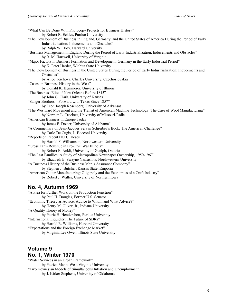"What Can Be Done With Photocopy Projects for Business History" by Robert B. Eckles, Purdue University "The Development of Business in England, Germany, and the United States of America During the Period of Early Industrialization: Inducements and Obstacles" by Ralph W. Hidy, Harvard University "Business Management in England During the Period of Early Industrialization: Inducements and Obstacles" by R. M. Hartwell, University of Virginia "Major Factors in Business Formation and Development: Germany in the Early Industrial Period" by K. Peter Harder, Wichita State University "The Development of Business in the United States During the Period of Early Industrialization: Inducements and Obstacles" by Alice Teichova, Charles University, Czechoslovakia "Cases on Business History in the West" by Donald K. Kemmerer, University of Illinois "The Business Elite of New Orleans Before 1815" by John G. Clark, University of Kansas "Sanger Brothers—Forward with Texas Since 1857" by Leon Joseph Rosenberg, University of Arkansas "The Westward Movement and the Transit of American Machine Technology: The Case of Wool Manufacturing" by Norman L. Crockett, University of Missouri-Rolla "American Business in Europe Today" by James F. Doster, University of Alabama" "A Commentary on Jean-Jacques Servan Schreiber's Book, The American Challenge" by Carlo De Cugis, L. Bocconi University "Reports on Recent Ph.D. Theses" by Harold F. Williamson, Northwestern University "Gross Farm Revenue in Pre-Civil War Illinois" by Robert E. Ankli, University of Guelph, Ontario "The Last Families: A Study of Metropolitan Newspaper Ownership, 1950-1967" by Elizabeth E. Swayne Yamashita, Northwestern University "A Business History of the Business Men's Assurance Company" by Stephen J. Butcher, Kansas State, Emporia "American Guitar Manufacturing: Oligopoly and the Economics of a Craft Industry" by Robert J. Waller, University of Northern Iowa

#### **No. 4, Autumn 1969**

"A Plea for Further Work on the Production Function" by Paul H. Douglas, Former U.S. Senator "Economic Theory as Advice: Advice to Whom and What Advice?" by Henry M. Oliver, Jr., Indiana University "A Quality Theory of Money" by Patric H. Hendershott, Purdue University "International Liquidity: The Future of SDRs" by Harold R. Williams, Harvard University "Expectations and the Foreign Exchange Market" by Virginia Lee Owen, Illinois State University

#### **Volume 9 No. 1, Winter 1970**

"Water Services in an Urban Framework" by Patrick Mann, West Virginia University "Two Keynesian Models of Simultaneous Inflation and Unemployment" by J. Kirker Stephens, University of Oklahoma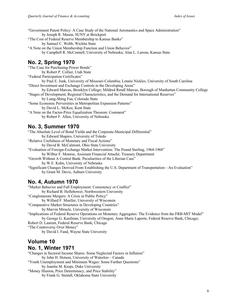"Government Patent Policy: A Case Study of the National Aeronautics and Space Administration" by Joseph R. Mason, SUNY at Brockport

"The Cost of Federal Reserve Membership to Kansas Banks"

by Samuel C. Webb, Wichita State

"A Note on the Union Membership Function and Union Behavior" by Campbell R. McConnell, University of Nebraska; Alan L. Larson, Kansas State

## **No. 2, Spring 1970**

"The Case for Purchasing-Power Bonds" by Robert P. Collier, Utah State "Federal Participation Certificates" by Paul E. Junk, University of Missouri-Columbia; Lonnie Nickles, University of South Carolina "Direct Investment and Exchange Controls in the Developing Areas" by Edward Marcus, Brooklyn College; Mildred Rendl Marcus, Borough of Manhattan Community College "Stages of Development, Regional Characteristics, and the Demand for International Reserves"

by Liang-Shing Fan, Colorado State

"Some Economic Perversities in Metropolitan Expansion Patterns"

by David L. McKee, Kent State

"A Note on the Factor-Price Equalization Theorem: Comment" by Robert F. Allen, University of Nebraska

#### **No. 3, Summer 1970**

"The Absolute Level of Bond Yields and the Corporate-Municipal Differential" by Edward Shapiro, University of Toledo "Relative Usefulness of Monetary and Fiscal Actions" by David B. McCalmont, Ohio State University "Evaluation of Foreign-Exchange Market Intervention: The Pound Sterling, 1964-1968" by Wilbur F. Monroe, Assistant Financial Attaché, Treasury Department "Growth Without A Central Bank: Peculiarities of the Liberian Case" by W.E. Kuhn, University of Nebraska

"Significant Changes Derived From Establishing the U.S. Department of Transportation—An Evaluation" by Grant M. Davis, Auburn University

## **No. 4, Autumn 1970**

"Market Behavior and Full Employment: Consistency or Conflict" by Richard B. Heflebower, Northwestern University "Conglomerate Mergers: A Crisis in Public Policy" by Willard F. Mueller, University of Wisconsin "Comparative Market Structures in Developing Countries" by Marvin Miracle, University of Wisconsin "Implications of Federal Reserve Operations on Monetary Aggregates: The Evidence from the FRB-MIT Model" by George G. Kaufman, University of Oregon; Anne Marie Laporte, Federal Reserve Bank, Chicago; Robert D. Laurent, Federal Reserve Bank, Chicago "The Controversy Over Money" by David I. Fand, Wayne State University

## **Volume 10 No. 1, Winter 1971**

"Changes in Sectoral Income Shares: Some Neglected Factors in Inflation" by John H. Hotson, University of Waterloo – Canada

"Youth Unemployment and Minimum Wages: Some Further Questions" by Juanita M. Kreps, Duke University

"Money Illusion, Price Determinacy, and Price Stability" by Frank G. Steindl, Oklahoma State University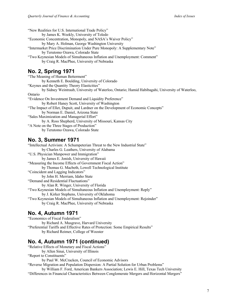"New Realities for U.S. International Trade Policy" by James K. Weekly, University of Toledo "Economic Concentration, Monopoly, and NASA's Waiver Policy" by Mary A. Holman, George Washington University "Intermarket Price Discrimination Under Pure Monopoly: A Supplementary Note" by Terutomo Ozawa, Colorado State "Two Keynesian Models of Simultaneous Inflation and Unemployment: Comment" by Craig R. MacPhee, University of Nebraska **No. 2, Spring 1971** "The Meaning of Human Betterment" by Kenneth E. Boulding, University of Colorado "Keynes and the Quantity Theory Elasticities" by Sidney Weintraub, University of Waterloo, Ontario; Hamid Habibagahi, University of Waterloo, Ontario "Evidence On Investment Demand and Liquidity Preference" by Robert Haney Scott, University of Washington "The Impact of Ellet, Dupuit, and Lardner on the Development of Economic Concepts" by Norman E. Daniel, Arizona State "Sales Maximization and Managerial Effort" by A. Ross Shepherd, University of Missouri, Kansas City "A Note on the Three Stages of Production"

by Terutomo Ozawa, Colorado State

#### **No. 3, Summer 1971**

"Intellectual Activism: A Schumpeterian Threat to the New Industrial State" by Charles G. Leathers, University of Alabama "U.S. Physician Manpower and Immigration" by James E. Jonish, University of Hawaii "Measuring the Income Effects of Government Fiscal Action" by Thomas G. Macbeth, Lowell Technological Institute "Coincident and Lagging Indicators" by John H. Merriam, Idaho State "Demand and Residential Fluctuations" by Alan R. Winger, University of Florida "Two Keynesian Models of Simultaneous Inflation and Unemployment: Reply" by J. Kirker Stephens, University of Oklahoma "Two Keynesian Models of Simultaneous Inflation and Unemployment: Rejoinder" by Craig R. MacPhee, University of Nebraska

## **No. 4, Autumn 1971**

"Economics of Fiscal Federalism" by Richard A. Musgrave, Harvard University "Preferential Tariffs and Effective Rates of Protection: Some Empirical Results" by Richard Reimer, College of Wooster

## **No. 4, Autumn 1971 (continued)**

"Relative Effects of Monetary and Fiscal Actions" by Allen Sinai, University of Illinois "Report to Constituents"

by Paul W. McCracken, Council of Economic Advisors

"Reverse Migration and Population Dispersion: A Partial Solution for Urban Problems"

by William F. Ford, American Bankers Association; Lewis E. Hill, Texas Tech University "Differences in Financial Characteristics Between Conglomerate Mergers and Horizontal Mergers"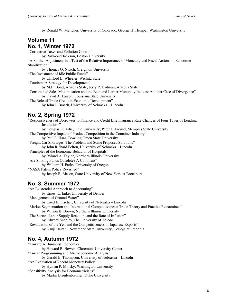by Ronald W. Melicher, University of Colorado; George H. Hempel, Washington University

# **Volume 11 No. 1, Winter 1972**

"Corrective Taxes and Pollution Control" by Raymond Jackson, Boston University "A Further Adjustment in a Test of the Relative Importance of Monetary and Fiscal Actions in Economic Stabilization" by Thomas O. Nitsch, Creighton University "The Investment of Idle Public Funds" by Clifford E. Wheeler, Wichita State "Tourism: A Strategy for Development" by M.E. Bond, Arizona State; Jerry R. Ladman, Arizona State "Constrained Sales Maximization and the Bain and Lerner Monopoly Indices: Another Case of Divergence" by David A. Larson, Louisiana State University "The Role of Trade Credit in Economic Development" by John J. Brasch, University of Nebraska – Lincoln

## **No. 2, Spring 1972**

"Responsiveness of Borrowers to Finance and Credit Life Insurance Rate Changes of Four Types of Lending Institutions" by Douglas K. Adie, Ohio University; Peter F. Freund, Memphis State University "The Competitive Impact of Product Competition in the Container Industry" by Paul F. Haas, Bowling Green State University "Freight Car Shortages: The Problem and Some Proposed Solutions" by John Richard Felton, University of Nebraska – Lincoln "Principles of the Economic Behavior of Hospitals" by Ryland A. Taylor, Northern Illinois University "Are Sinking Funds Obsolete? A Comment" by William H. Parks, University of Oregon "NASA Patent Policy Revisited" by Joseph R. Mason, State University of New York at Brockport

## **No. 3, Summer 1972**

"An Existential Approach to Accounting" by Ernest L. Enke, University of Denver "Management of Ground Water" by Loyd K. Fischer, University of Nebraska – Lincoln "Market Segmentation and International Competitiveness: Trade Theory and Practice Reexamined" by Wilson B. Brown, Northern Illinois University "The Surtax, Labor Supply Reaction, and the Rate of Inflation" by Edward Shapiro, The University of Toledo "Revaluation of the Yen and the Competitiveness of Japanese Exports" by Kanji Haitani, New York State University, College at Fredonia

## **No. 4, Autumn 1972**

"Toward A Humanist Economics" by Howard R. Bowen, Claremont University Center "Linear Programming and Microeconomic Analysis" by Gerald E. Thompson, University of Nebraska – Lincoln "An Evaluation of Recent Monetary Policy" by Hyman P. Minsky, Washington University "Sensitivity Analysis for Econometricians" by Martin Bronfenbrenner, Duke University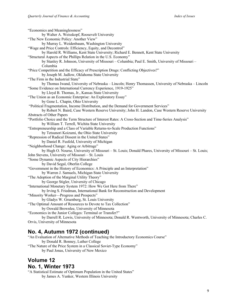"Economics and Meaninglessness" by Walter A. Weisskopf, Roosevelt University "The New Economic Policy: Another View" by Murray L. Weidenbaum, Washington University "Wage and Price Controls: Efficiency, Equity, and Decontrol" by Harold R. Williams, Kent State University; Richard E. Bennett, Kent State University "Structural Aspects of the Phillips Relation in the U.S. Economy" by Stanley R. Johnson, University of Missouri – Columbia; Paul E. Smith, University of Missouri – Columbia "Price Competition and the Efficacy of Prescription Drugs: Conflicting Objectives?" by Joseph M. Jadlow, Oklahoma State University "The Firm in the Industrial State" by Thomas Iwand, University of Nebraska – Lincoln; Henry Thomassen, University of Nebraska – Lincoln "Some Evidence on International Currency Experience, 1919-1925" by Lloyd B. Thomas, Jr., Kansas State University "The Union as an Economic Enterprise: An Exploratory Essay" by Gene L. Chapin, Ohio University "Political Fragmentation, Income Distribution, and the Demand for Government Services" by Robert N. Baird, Case Western Reserve University; John H. Landon, Case Western Reserve University Abstracts of Other Papers "Portfolio Choice and the Term Structure of Interest Rates: A Cross-Section and Time-Series Analysis" by William T. Terrell, Wichita State University "Entrepreneurship and a Class of Variable Returns-to-Scale Production Functions" by Tetsunori Koizumi, the Ohio State University "Repression of Radical Dissent in the United States" by Daniel R. Fusfeld, University of Michigan "Neighborhood Change: Aging or Arbitrage" by Hugh O. Nourse, University of Missouri – St. Louis; Donald Phares, University of Missouri – St. Louis; John Stevens, University of Missouri – St. Louis "Some Dynamic Aspects of City Hierarchies" by David Segal, Oberlin College "Government in the History of Economics: A Principle and an Interpretation" by Warren J. Samuels, Michigan State University "The Adoption of the Marginal Utility Theory" by George Stigler, University of Chicago "International Monetary System 1972: How We Got Here from There" by Irving S. Friedman, International Bank for Reconstruction and Development "Minority Worker—Progress and Prospects" by Gladys W. Gruenberg, St. Louis University "The Optimal Amount of Resources to Devote to Tax Collection" by Oswald Brownlee, University of Minnesota "Economics in the Junior Colleges: Terminal or Transfer?" by Darrell R. Lewis, University of Minnesota; Donald R. Wentworth, University of Minnesota; Charles C. Orvis, University of Minnesota

## **No. 4, Autumn 1972 (continued)**

"An Evaluation of Alternative Methods of Teaching the Introductory Economics Course" by Donald R. Bonney, Luther College "The Nature of the Price System in a Classical Soviet-Type Economy" by Paul Jonas, University of New Mexico

## **Volume 12 No. 1, Winter 1973**

"A Statistical Estimate of Optimum Population in the United States" by James A. Yunker, Western Illinois University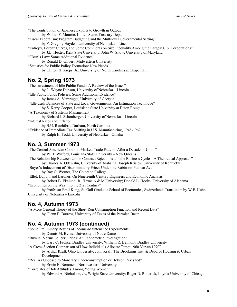"The Contribution of Japanese Exports to Growth in Output" by Wilbur F. Monroe, United States Treasury Dept. "Fiscal Federalism: Program Budgeting and the Multilevel Governmental Setting" by F. Gregory Hayden, University of Nebraska – Lincoln "Entropy, Lorenz Curves, and Some Comments on Size Inequality Among the Largest U.S. Corporations" by J.L. Hexter, Kent State University; John W. Snow, University of Maryland "Okun's Law: Some Additional Evidence" by Ronald D. Gilbert, Midwestern University "Statistics for Public Policy Formation: New Needs" by Clifton H. Kreps, Jr., University of North Carolina at Chapel Hill **No. 2, Spring 1973** "The Investment of Idle Public Funds: A Review of the Issues" by L. Wayne Dobson, University of Nebraska – Lincoln "Idle Public Funds Policies: Some Additional Evidence" by James A. Verbrugge, University of Georgia "Idle Cash Balances of State and Local Governments: An Estimation Technique" by S. Kerry Cooper, Louisiana State University at Baton Rouge "A Taxonomy of Systems Management" by Richard J. Schonberger, University of Nebraska – Lincoln "Interest Rates and Inflation" by B.U. Ratchford, Durham, North Carolina

"Evidence of Immediate Tax Shifting in U.S. Manufacturing, 1948-1967" by Ralph H. Todd, University of Nebraska – Omaha

#### **No. 3, Summer 1973**

"The Central American Common Market: Trade Patterns After a Decade of Union" by W. T. Wilford, Louisiana State University – New Orleans "The Relationship Between Union Contract Rejections and the Business Cycle—A Theoretical Approach" by Charles A. Odewahn, University of Alabama; Joseph Krislov, University of Kentucky "Buyer's Inducement of Discriminatory Prices Under the Robinson-Patman Act"

by Ray O. Werner, The Colorado College

"Ellet, Dupuit, and Lardner: On Nineteenth Century Engineers and Economic Analysis"

by Robert B. Ekelund, Jr., Texas A & M University; Donald L. Hooks, University of Alabama "Economics on the Way into the 21st Century"

by Professor Emil Kung, St. Gall Graduate School of Economics, Switzerland; Translation by W.E. Kuhn, University of Nebraska – Lincoln

#### **No. 4, Autumn 1973**

"A More General Theory of the Short-Run Consumption Function and Recent Data" by Glenn E. Burress, University of Texas of the Permian Basin

#### **No. 4, Autumn 1973 (continued)**

"Some Preliminary Results of Income-Maintenance Experiments" by Dennis M. Byrne, University of Notre Dame "Buyers' Versus Sellers' Prices: An Econometric Investigation" by Gary C. Fethke, Bradley University; William R. Belmont, Bradley University "A Cross-Section Comparison of How Individuals Allocate Time: 1960 Versus 1970" by Arthur Kraft, Ohio University; John Kraft, The Brookings Inst. & Dept. of Housing & Urban Development "Real As Opposed to Monetary Underconsumption or Hobson Revisited" by Erwin E. Nemmers, Northwestern University "Correlates of Job Attitudes Among Young Women" by Edward A. Nicholson, Jr., Wright State University; Roger D. Roderick, Loyola University of Chicago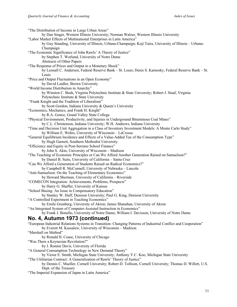| "The Distribution of Income in Large Urban Areas"                                                               |
|-----------------------------------------------------------------------------------------------------------------|
| by Dan Singer, Western Illinois University; Norman Walzer, Western Illinois University                          |
| "Labor Market Effects of Multinational Enterprises in Latin America"                                            |
| by Guy Standing, University of Illinois, Urbana-Champaign; Koji Taira, University of Illinois - Urbana-         |
| Champaign                                                                                                       |
| "The Economic Significance of John Rawls' A Theory of Justice"                                                  |
| by Stephen T. Worland, University of Notre Dame                                                                 |
| Abstracts of Other Papers                                                                                       |
| "The Response of Prices and Output to a Monetary Shock"                                                         |
| by Leonall C. Andersen, Federal Reserve Bank - St. Louis; Denis S. Karnosky, Federal Reserve Bank - St.         |
| Louis                                                                                                           |
| "Price and Output Fluctuations in an Open Economy"                                                              |
| by David Laidler, Brown University                                                                              |
| "World Income Distribution in Anarchy"                                                                          |
| by Winston C. Bush, Virginia Polytechnic Institute & State University; Robert J. Staaf, Virginia                |
| Polytechnic Institute & State University                                                                        |
| "Frank Knight and the Tradition of Liberalism"                                                                  |
| by Scott Gordon, Indiana University & Queen's University                                                        |
| "Economics, Mechanics, and Frank H. Knight"                                                                     |
| by R.A. Gonce, Grand Valley State College                                                                       |
| "Physical Environment, Productivity, and Injuries in Underground Bituminous Coal Mines"                         |
| by C.L. Christenson, Indiana University; W.H. Andrews, Indiana University                                       |
| "Time and Decision Unit Aggregation in a Class of Inventory Investment Models: A Monte Carlo Study"             |
| by William E. Wehrs, University of Wisconsin - LaCrosse                                                         |
| "General Equilibrium Incidence and Effects of a Value-Added Tax of the Consumption Type"                        |
| by Hugh Garnett, Southern Methodist University                                                                  |
| "Efficiency and Equity in Post-Serrano School Finance"                                                          |
| by John S. Akin, University of Wisconsin - Madison                                                              |
| "The Teaching of Economic Principles or Can We Afford Another Generation Raised on Samuelson?"                  |
| by Daniel B. Suits, University of California - Santa Cruz                                                       |
| "Can We Afford a Generation of Students Raised on Radical Economics?"                                           |
| by Campbell R. McConnell, University of Nebraska – Lincoln                                                      |
| "Anti-Samuelson: On the Teaching of Elementary Economics"                                                       |
| by Howard Sherman, University of California - Riverside                                                         |
| "COMECON Integration: Achievements, Problems, Prospects"                                                        |
| by Harry G. Shaffer, University of Kansas                                                                       |
| "School Busing: An Issue in Compensatory Education"                                                             |
| by Stanley W. Huff, Denison University; Paul G. King, Denison University                                        |
| "A Controlled Experiment in Teaching Economics"                                                                 |
| by Emile Grunberg, University of Akron; James Shanahan, University of Akron                                     |
| "An Integrated System of Computer-Assisted Instruction in Economics"                                            |
| by Frank J. Bonello, University of Notre Dame; William I. Davisson, University of Notre Dame                    |
| No. 4, Autumn 1973 (continued)                                                                                  |
|                                                                                                                 |
| "European Industrial Relations Systems in Transition: Changing Patterns of Industrial Conflict and Cooperation" |
| by Everett M. Kassalow, University of Wisconsin - Madison                                                       |
| "Marshall on Method"                                                                                            |
| by Ronald H. Coase, University of Chicago                                                                       |
| "Was There a Keynesian Revolution?"                                                                             |
| by J. Ronnie Davis, University of Florida                                                                       |
| "A General Consumption Technology in New Demand Theory"                                                         |
| by Victor E. Smith, Michigan State University; Anthony Y.C. Koo, Michigan State University                      |
| "The Utilitarian Contract: A Generalization of Rawls' Theory of Justice"                                        |
| by Dennis C. Mueller, Cornell University; Robert D. Tollison, Cornell University; Thomas D. Willett, U.S.       |

Dept. of the Treasury

"The Imperial Expansion of Japan in Latin America"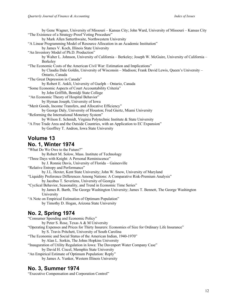by Gene Wagner, University of Missouri – Kansas City; John Ward, University of Missouri – Kansas City "The Existence of a Strategy-Proof Voting Procedure" by Mark Allen Satterthwaite, Northwestern University "A Linear Programming Model of Resource Allocation in an Academic Institution" by James V. Koch, Illinois State University "An Inventory Model of Ph.D. Production" by Walter L. Johnson, University of California – Berkeley; Joseph W. McGuire, University of California – Berkeley "The Economic Costs of the American Civil War: Estimation and Implications" by Claudia Dale Goldin, University of Wisconsin – Madison; Frank David Lewis, Queen's University – Ontario, Canada "The Great Depression in Canada" by Robert E. Ankli, University of Guelph – Ontario, Canada "Some Economic Aspects of Court Accountability Criteria" by John Griffith, Bemidji State College "An Economic Theory of Hospital Behavior" by Hyman Joseph, University of Iowa "Merit Goods, Income Transfers, and Allocative Efficiency" by George Daly, University of Houston; Fred Giertz, Miami University "Reforming the International Monetary System" by Wilson E. Schmidt, Virginia Polytechnic Institute & State University "A Free Trade Area and the Outside Countries, with an Application to EC Expansion" by Geoffrey T. Andron, Iowa State University

#### **Volume 13 No. 1, Winter 1974**

"What Do We Owe to the Future?" by Robert M. Solow, Mass. Institute of Technology "Three Days with Knight: A Personal Reminiscence" by J. Ronnie Davis, University of Florida – Gainesville "Relative Entropy and Performance" by J.L. Hexter, Kent State University; John W. Snow, University of Maryland "Liquidity Preference Differences Among Nations: A Comparative Risk-Premium Analysis" by Jacobus T. Severiens, University of Georgia "Cyclical Behavior, Seasonality, and Trend in Economic Time Series" by James R. Barth, The George Washington University; James T. Bennett, The George Washington University "A Note on Empirical Estimation of Optimum Population" by Timothy D. Hogan, Arizona State University

## **No. 2, Spring 1974**

"Consumer Spending and Economic Policy" by Peter S. Rose, Texas A & M University "Operating Expenses and Prices for Thirty Insurers: Economies of Size for Ordinary Life Insurance" by S. Travis Pritchett, University of South Carolina "The Economic and Social Status of the American Indian, 1940-1970" by Alan L. Sorkin, The Johns Hopkins University "Inauguration of Utility Regulation in Iowa: The Davenport Water Company Case" by David H. Ciscel, Memphis State University "An Empirical Estimate of Optimum Population: Reply" by James A. Yunker, Western Illinois University

## **No. 3, Summer 1974**

"Executive Compensation and Corporation Control"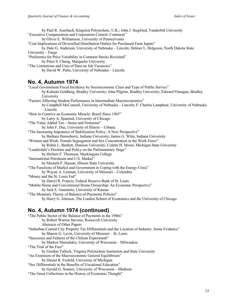by Paul R. Auerbach, Kingston Polytechnic, U.K.; John J. Siegfried, Vanderbilt University "Executive Compensation and Corporation Control: Comment" by Oliver E. Williamson, University of Pennsylvania "Cost Implications of Diversified Distribution Outlets for Purchased Farm Inputs" by Dale G. Anderson, University of Nebraska – Lincoln; Delmer L. Helgeson, North Dakota State University – Fargo "Preference for Price Variability in Common Stocks Revisited" by Peter S. Chung, Marquette University "The Limitations and Uses of Data on Job Vacancies" by David W. Palm, University of Nebraska – Lincoln **No. 4, Autumn 1974** "Local Government Fiscal Incidence by Socioeconomic Class and Type of Public Service" by Kalman Goldberg, Bradley University; John Pilgrim, Bradley University; Edward Flanagan, Bradley University "Factors Affecting Student Performance in Intermediate Macroeconomics" by Campbell McConnell, University of Nebraska – Lincoln; F. Charles Lamphear, University of Nebraska – Lincoln "How to Contrive an Economic Miracle: Brazil Since 1965" by Larry A. Sjaastad, University of Chicago "The Value Added Tax—Sense and Nonsense" by John F. Due, University of Illinois – Urbana "The Increasing Impotence of Stabilization Policy: A New Perspective" by Barbara Henneberry, Indiana University; James G. Witte, Indiana University "Women and Work: Female Segregation and Sex Concentration in the Work Force" by Robin L. Bartlett, Denison University; Colette H. Moser, Michigan State University "Lauderdale's Doctrine and Policy on the Parliamentary Stage" by Herbert F. Thomson, Muskingum College "International Petroleum and U.S. Market" by Mostafa F. Hassan, Illinois State University "The Functions of Market and Government in Coping with the Energy Crisis" by Wayne A. Leeman, University of Missouri – Columbia "Money and the St. Louis Fed" by Darryl R. Francis, Federal Reserve Bank of St. Louis "Mobile Home and Conventional Home Ownership: An Economic Perspective" by Jack E. Gaumnitz, University of Kansas "The Monetary Theory of Balance-of-Payments Policies" by Harry G. Johnson, The London School of Economics and the University of Chicago

## **No. 4, Autumn 1974 (continued)**

| "The Public Sector of the Balance of Payments in the 1960s"                                    |
|------------------------------------------------------------------------------------------------|
| by Robert Warren Stevens, Roosevelt University                                                 |
| Abstracts of Other Papers                                                                      |
| "Suburban-Central City Property Tax Differentials and the Location of Industry: Some Evidence" |
| by Sharon G. Levin, University of Missouri – St. Louis                                         |
| "Successes and Failures of the Chilean Experiment"                                             |
| by Markos Mamalakis, University of Wisconsin - Milwaukee                                       |
| "The Trial of the Fact"                                                                        |
| by Gordon Tullock, Virginia Polytechnic Institution and State University                       |
| "An Extension of the Macroeconomic General Equilibrium"                                        |
| by Daniel R. Fusfeld, University of Michigan                                                   |
| "Sex Differentials in the Benefits of Vocational Education"                                    |
| by Gerald G. Somers, University of Wisconsin – Madison                                         |
| "The Great Collections in the History of Economic Thought"                                     |
|                                                                                                |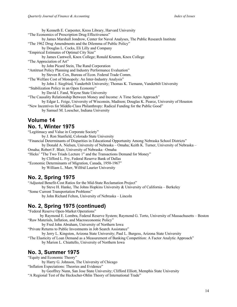by Kenneth E. Carpenter, Kress Library, Harvard University "The Economics of Prescription Drug Effectiveness" by James Marshall Jondrow, Center for Naval Analyses, The Public Research Institute "The 1962 Drug Amendments and the Dilemma of Public Policy" by Douglas L. Cocks, Eli Lilly and Company "Empirical Estimates of Optimal City Size" by James Cantwell, Knox College; Ronald Krumm, Knox College "The Appreciation of Art" by John Picard Stein, The Rand Corporation "Antitrust Policy Planning and Industry Performance Evaluation" by Steven R. Cox, Bureau of Econ. Federal Trade Comm. "The Welfare Cost of Monopoly: An Inter-Industry Analysis" by John J. Siegfried, Vanderbilt University; Thomas K. Tiemann, Vanderbilt University "Stabilization Policy in an Open Economy" by David I. Fand, Wayne State University "The Causality Relationship Between Money and Income: A Time Series Approach" by Edgar L. Feige, University of Wisconsin, Madison; Douglas K. Pearce, University of Houston "New Incentives for Middle-Class Philanthropy: Radical Funding for the Public Good"

by Samuel M. Loescher, Indiana University

# **Volume 14**

#### **No. 1, Winter 1975**

"Legitimacy and Value in Corporate Society"

by J. Ron Stanfield, Colorado State University

"Financial Determinants of Disparities in Educational Opportunity Among Nebraska School Districts" by Donald A. Nielsen, University of Nebraska – Omaha; Keith K. Turner, University of Nebraska –

Omaha; Robert F. Blair, University of Nebraska –Omaha

"Hicks' "The Two Triads Lecture 1" and the Transactions Demand for Money"

by Clifford L. Fry, Federal Reserve Bank of Dallas

"Economic Determinants of Migration, Canada, 1950-1967"

by William L. Marr, Wilfrid Laurier University

#### **No. 2, Spring 1975**

"Adjusted Benefit-Cost Ratios for the Mid-State Reclamation Project"

by Steve H. Hanke, The Johns Hopkins University & University of California – Berkeley

"Some Current Transportation Problems"

by John Richard Felton, University of Nebraska – Lincoln

## **No. 2, Spring 1975 (continued)**

"Federal Reserve Open-Market Operations"

by Raymond E. Lombra, Federal Reserve System; Raymond G. Torto, University of Massachusetts – Boston "Raw Materials, Inflation, and Macroeconomic Policy"

by Fred John Abraham, University of Northern Iowa

"Private Returns to Public Investments in Job Search Assistance"

by Jerry L. Kingston, Arizona State University; Paul L. Burgess, Arizona State University

"The Elasticity of Loan Demand as a Measurement of Banking Competition: A Factor Analytic Approach"

by Marion L. Chiattello, University of Northern Iowa

#### **No. 3, Summer 1975**

"Equity and Economic Theory"

by Harry G. Johnson, The University of Chicago

"Inflation Expectations: Theories and Evidence"

by Geoffrey Nunn, San Jose State University; Clifford Elliott, Memphis State University

"A Regional Test of the Heckscher-Ohlin Theory of International Trade"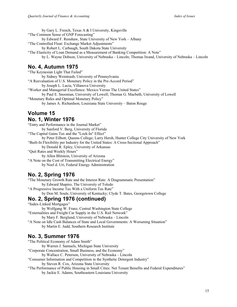by Gary L. French, Texas A & I University, Kingsville "The Common Sense of GNP Forecasting" by Edward F. Renshaw, State University of New York – Albany "The Controlled Float: Exchange Market Adjustments" by Robert L. Carbaugh, South Dakota State University "The Elasticity of Loan Demand as a Measurement of Banking Competition: A Note" by L. Wayne Dobson, University of Nebraska – Lincoln; Thomas Iwand, University of Nebraska – Lincoln

#### **No. 4, Autumn 1975**

"The Keynesian Light That Failed" by Sidney Weintraub, University of Pennsylvania "A Reevaluation of U.S. Monetary Policy in the Pre-Accord Period" by Joseph L. Lucia, Villanova University "Worker and Managerial Excellence: Mexico Versus The United States" by Paul E. Snoonian, University of Lowell; Thomas G. Macbeth, University of Lowell "Monetary Rules and Optimal Monetary Policy" by James A. Richardson, Louisiana State University – Baton Rouge

#### **Volume 15 No. 1, Winter 1976**

"Entry and Performance in the Journal Market" by Sanford V. Berg, University of Florida

"The Capital Gains Tax and the "Lock-In" Effect"

by Peter Eilbott, Queens College; Larry Hersh, Hunter College City University of New York "Built-In Flexibility per Industry for the United States: A Cross-Sectional Approach"

by Donald R. Epley, University of Arkansas

"Quit Rates and Weekly Hours"

by Allen Blitstein, University of Arizona

"A Note on the Cost of Transmitting Electrical Energy"

by Noel d. Uri, Federal Energy Administration

## **No. 2, Spring 1976**

"The Monetary Growth Rate and the Interest Rate: A Diagrammatic Presentation" by Edward Shapiro, The University of Toledo "A Progressive Income Tax With a Uniform Tax Rate" by Don M. Soule, University of Kentucky; Clyde T. Bates, Georgetown College

## **No. 2, Spring 1976 (continued)**

"Index-Linked Mortgages"

by Wolfgang W. Franz, Central Washington State College

"Externalities and Freight Car Supply in the U.S. Rail Network"

by Mary F. Berglund, University of Nebraska – Lincoln

"A Note on Idle Cash Balances of State and Local Governments: A Worsening Situation" by Martin E. Judd, Southern Research Institute

## **No. 3, Summer 1976**

"The Political Economy of Adam Smith"

by Warren J. Samuels, Michigan State University

"Corporate Concentration, Small Business, and the Economy"

by Wallace C. Peterson, University of Nebraska – Lincoln

"Consumer Information and Competition in the Synthetic Detergent Industry"

by Steven R. Cox, Arizona State University

"The Performance of Public Housing in Small Cities: Net Tenant Benefits and Federal Expenditures" by Jackie E. Adams, Southeastern Louisiana University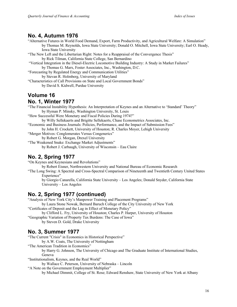#### **No. 4, Autumn 1976**

- "Alternative Futures in World Food Demand, Export, Farm Productivity, and Agricultural Welfare: A Simulation" by Thomas M. Reynolds, Iowa State University; Donald O. Mitchell, Iowa State University; Earl O. Heady, Iowa State University
- "The New Left and the Libertarian Right: Notes for a Reappraisal of the Convergence Thesis" by Rick Tilman, California State College, San Bernardino
- "Vertical Integration in the Diesel-Electric Locomotive Building Industry: A Study in Market Failures" by Thomas G. Marx, Foster Associates, Inc., Washington, D.C.
- "Forecasting by Regulated Energy and Communication Utilities"
	- by Stevan R. Holmberg, University of Maryland
- "Characteristics of Call Provisions on State and Local Government Bonds" by David S. Kidwell, Purdue University

# **Volume 16**

#### **No. 1, Winter 1977**

"The Financial Instability Hypothesis: An Interpretation of Keynes and an Alternative to 'Standard' Theory" by Hyman P. Minsky, Washington University, St. Louis

"How Successful Were Monetary and Fiscal Policies During 1974?"

- by Willy Sellekaerts and Brigitte Sellekaerts, Chase Econometrics Associates, Inc.
- "Economic and Business Journals: Policies, Performance, and the Impact of Submission Fees"

by John H. Crockett, University of Houston; R. Charles Moyer, Lehigh University

"Merger Motives: Conglomerates Versus Congenerics"

by Robert G. Morgan, Drexel University

"The Weakened Snake: Exchange Market Adjustments" by Robert J. Carbaugh, University of Wisconsin – Eau Claire

## **No. 2, Spring 1977**

"On Keynes and Keynesians and Revolutions"

by Robert Eisner, Northwestern University and National Bureau of Economic Research

"The Long Swing: A Spectral and Cross-Spectral Comparison of Nineteenth and Twentieth Century United States Experience"

by Giorgio Canarella, California State University – Los Angeles; Donald Snyder, California State University – Los Angeles

## **No. 2, Spring 1977 (continued)**

"Analysis of New York City's Manpower Training and Placement Programs"

by Laura Stone Nowak, Bernard Baruch College of the City University of New York "Certificates of Deposit and the Lag in Effect of Monetary Policy"

by Clifford L. Fry, University of Houston; Charles P. Harper, University of Houston

"Geographic Variation of Property Tax Burdens: The Case of Iowa" by Steven D. Gold, Drake University

## **No. 3, Summer 1977**

"The Current "Crisis" in Economics in Historical Perspective"

by A.W. Coats, The University of Nottingham

"The American Tradition in Economics"

by Harry G. Johnson, The University of Chicago and The Graduate Institute of International Studies, Geneva

"Institutionalism, Keynes, and the Real World"

by Wallace C. Peterson, University of Nebraska – Lincoln

"A Note on the Government Employment Multiplier"

by Michael Dimmit, College of St. Rose; Edward Renshaw, State University of New York at Albany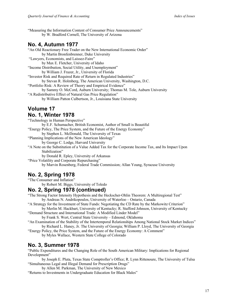"Measuring the Information Content of Consumer Price Announcements" by W. Bradford Cornell, The University of Arizona

## **No. 4, Autumn 1977**

"An Old Reactionary Free Trader on the New International Economic Order" by Martin Bronfenbrenner, Duke University "Lawyers, Economists, and Laissez-Faire" by Max E. Fletcher, University of Idaho "Income Distribution, Social Utility, and Unemployment" by William J. Frazer, Jr., University of Florida "Investor Risk and Required Rate of Return in Regulated Industries" by Stevan R. Holmberg, The American University, Washington, D.C. "Portfolio Risk: A Review of Theory and Empirical Evidence" by Sammy O. McCord, Auburn University; Thomas M. Tole, Auburn University "A Redistributive Effect of Natural Gas Price Regulation" by William Patton Culbertson, Jr., Louisiana State University

## **Volume 17 No. 1, Winter 1978**

"Technology in Human Perspective" by E.F. Schumacher, British Economist, Author of Small is Beautiful "Energy Policy, The Price System, and the Future of the Energy Economy" by Stephen L. McDonald, The University of Texas "Planning Implications of the New American Ideology" by George C. Lodge, Harvard University

"A Note on the Substitution of a Value Added Tax for the Corporate Income Tax, and Its Impact Upon Stabilization"

by Donald R. Epley, University of Arkansas

"Price Volatility and Corporate Repurchasing"

by Marvin Rosenberg, Federal Trade Commission; Allan Young, Syracuse University

## **No. 2, Spring 1978**

"The Consumer and Inflation"

by Robert M. Biggs, University of Toledo

#### **No. 2, Spring 1978 (continued)**

"The Strong Factor Intensity Hypothesis and the Heckscher-Ohlin Theorem: A Multiregional Test" by Andreas N. Andrikopoulos, University of Waterloo – Ontario, Canada

"A Strategy for the Investment of State Funds: Negotiating the CD Rate by the Markowitz Criterion" by Merlin M. Hackbart, University of Kentucky; R. Stafford Johnson, University of Kentucky

"Demand Structure and International Trade: A Modified Linder Model" by Frank S. Wert, Central State University – Edmond, Oklahoma

- "An Examination of the Stability of the Intertemporal Relationships Among National Stock Market Indices" by Richard L. Haney, Jr. The University of Georgia; William P. Lloyd, The University of Georgia
- "Energy Policy, the Price System, and the Future of the Energy Economy: A Comment" by Myles Wallace, Western State College of Colorado

## **No. 3, Summer 1978**

"Public Expenditures and the Changing Role of the South American Military: Implications for Regional Development"

by Joseph E. Pluta, Texas State Comptroller's Office; R. Lynn Rittenoure, The University of Tulsa "Simultaneous Legal and Illegal Demand for Prescription Drugs"

by Allen M. Parkman, The University of New Mexico

"Returns to Investments in Undergraduate Education for Black Males"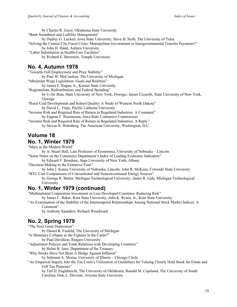by Charles R. Greer, Oklahoma State University "Bank Soundness and Liability Management" by Dudley G. Luckett, Iowa State University; Steve B. Steib, The University of Tulsa "Solving the Central City Fiscal Crisis: Metropolitan Government or Intergovernmental Transfer Payments?" by John H. Hand, Auburn University "Labor Substitution in Health-Care Facilities" by Richard E. Bernstein, Temple University

#### **No. 4, Autumn 1978**

"Towards Full Employment and Price Stability"

by Paul W. McCracken, The University of Michigan

"Minimum Wage Legislation: Goals and Realities"

by James F. Ragan, Jr., Kansas State University

"Regionalism, Redistribution, and Federal Spending"

by U-Jin Jhun, State University of New York, Oswego; James Cicarelli, State University of New York, Oswego

"Rural Coal Development and School Quality: A Study of Western North Dakota" by David L. Vinje, Pacific Lutheran University

"Investor Risk and Required Rate of Return in Regulated Industries: A Comment" by Eugene F. Rasmussen, Iowa State Commerce Commission

"Investor Risk and Required Rate of Return in Regulated Industries: A Reply" by Stevan R. Holmberg, The American University, Washington, D.C.

## **Volume 18**

#### **No. 1, Winter 1979**

"Marx in the Modern World"

by A. Stuart Hall, Late Professor of Economics, University of Nebraska – Lincoln "Some Notes on the Commerce Department's Index of Leading Economic Indicators"

by Edward F. Renshaw, State University of New York, Albany

"Decision-Making in the Extensive Firm"

by John J. Kania, University of Nebraska, Lincoln; John R. McKean, Colorado State University

"BTU Cost Comparisons of Conventional and Nonconventional Energy Sources"

by George R. Butler, Michigan Technological University; James R. Gale, Michigan Technological University

## **No. 1, Winter 1979 (continued)**

"Multinational Corporation Investment in Less Developed Countries: Reducing Risk"

by James C. Baker, Kent State University; John K. Ryans, Jr., Kent State University

"An Examination of the Stability of the Intertemporal Relationships Among National Stock Market Indices: A Comment"

by Anthony Saunders; Richard Woodward

## **No. 2, Spring 1979**

"The Next Great Depression"

by Daniel R. Fusfeld, The University of Michigan

"Is Monetary Collapse in the Eighties in the Cards?"

by Paul Davidson, Rutgers University

"Adjustment Policies and Trade Relations with Developing Countries"

by Helen B. Junz, Department of the Treasury

"Why Stocks Have Not Been A Hedge Against Inflation"

by Suleman A. Moosa, University of Illinois – Chicago Circle

"An Empirical Inquiry Into the Tax Court's Utilization of Guidelines for Valuing Closely Held Stock for Estate and Gift Tax Purposes"

by Ted D. Englebrecht, The University of Oklahoma; Ronald M. Copeland, The University of South

Carolina; Dale L. Davison, Arizona State University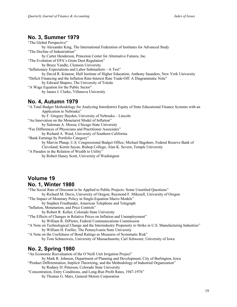#### **No. 3, Summer 1979**

"The Global Perspective" by Alexander King, The International Federation of Institutes for Advanced Study "The Decline of Industrialism" by Carter Henderson, Princeton Center for Alternative Futures, Inc. "The Evolution of EPA's Grain Dust Regulation" by Bruce Yandle, Clemson University "Inflationary Expectations and Labor Submarkets—A Test" by David R. Kinnear, Hull Institute of Higher Education; Anthony Saunders, New York University "Deficit Financing and the Inflation Rate-Interest Rate Trade-Off: A Diagrammatic Note" by Edward Shapiro, The University of Toledo "A Wage Equation for the Public Sector" by James J. Clarke, Villanova University **No. 4, Autumn 1979** "A Total Budget Methodology for Analyzing Interdistrict Equity of State Educational Finance Systems with an Application to Nebraska" by F. Gregory Hayden, University of Nebraska – Lincoln "An Innovation on the Monetarist Model of Inflation" by Suleman A. Moosa, Chicago State University "Fee Differences of Physicians and Practitioner Associates" by Richard A. Ward, University of Southern California "Bank Earnings by Portfolio Category" by Marvin Phaup, U.S. Congressional Budget Office; Michael Bagshaw, Federal Reserve Bank of Cleveland; Kerim Sayan, Bishop College; Alan K. Severn, Temple University

"A Paradox in the Relation of Wealth to Utility"

by Robert Haney Scott, University of Washington

## **Volume 19 No. 1, Winter 1980**

"The Social Rate of Discount to be Applied to Public Projects: Some Unsettled Questions"

by Richard M. Davis, University of Oregon; Raymond F. Mikesell, University of Oregon

"The Impact of Monetary Policy in Single-Equation Macro Models" by Stephen Friedlander, American Telephone and Telegraph

- "Inflation, Monetarism, and Price Controls"
	- by Robert R. Keller, Colorado State University
- "The Effects of Changes in Relative Prices on Inflation and Unemployment" by William R. DiPietro, Federal Communications Commission
- "A Note on Technological Change and the Interindustry Propensity to Strike in U.S. Manufacturing Industries" by William H. Foeller, The Pennsylvania State University

"A Note on the Usefulness of Bond Ratings as Measures of Systematic Risk"

by Tom Schneeweis, University of Massachusetts; Carl Schweser, University of Iowa

## **No. 2, Spring 1980**

"An Economic Reevaluation of the O'Neill Unit Irrigation Project"

by Mark R. Johnson, Department of Planning and Development, City of Burlington, Iowa

"Product Differentiation, Implicit Theorizing, and the Methodology of Industrial Organization" by Rodney D. Peterson, Colorado State University

"Concentration, Entry Conditions, and Long-Run Profit Rates, 1947-1976" by Thomas G. Marx, General Motors Corporation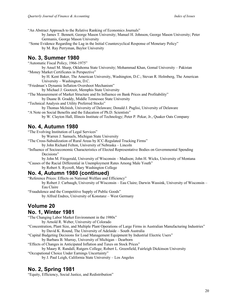"An Abstract Approach to the Relative Ranking of Economics Journals"

- by James T. Bennett, George Mason University; Manuel H. Johnson, George Mason University; Peter Germanis, George Mason University
- "Some Evidence Regarding the Lag in the Initial Countercyclical Response of Monetary Policy" by M. Ray Perryman, Baylor University

#### **No. 3, Summer 1980**

"Automatic Fiscal Policy, 1966-1975"

by Ansel M. Sharp, Oklahoma State University; Mohammad Khan, Gomal University – Pakistan "Money Market Certificates in Perspective"

by H. Kent Baker, The American University, Washington, D.C.; Stevan R. Holmberg, The American University – Washington, D.C.

"Friedman's Dynamic Inflation Overshoot Mechanism"

by Michael J. Gootzeit, Memphis State University

"The Measurement of Market Structure and Its Influence on Bank Prices and Profitability"

by Duane B. Graddy, Middle Tennessee State University

"Technical Analysis and Utility Preferred Stocks"

by Thomas McInish, University of Delaware; Donald J. Puglisi, University of Delaware

"A Note on Social Benefits and the Education of Ph.D. Scientists"

by W. Clayton Hall, Illinois Institute of Technology; Peter P. Pekar, Jr., Quaker Oats Company

#### **No. 4, Autumn 1980**

"The Evolving Institution of Legal Services"

by Warren J. Samuels, Michigan State University

"The Cross-Subsidization of Rural Areas by ICC-Regulated Trucking Firms"

by John Richard Felton, University of Nebraska – Lincoln

"Influence of Socioeconomic Characteristics of Elected Representative Bodies on Governmental Spending Decisions"

by John M. Fitzgerald, University of Wisconsin – Madison; John H. Wicks, University of Montana "Causes of the Racial Differential in Unemployment Rates Among Male Youth"

by Robert S. Rycroft, Mary Washington College

#### **No. 4, Autumn 1980 (continued)**

"Reference Prices: Effects on National Welfare and Efficiency"

by Robert J. Carbaugh, University of Wisconsin – Eau Claire; Darwin Wassink, University of Wisconsin – Eau Claire

"Fraudulence and the Competitive Supply of Public Goods"

by Alfred Endres, University of Konstanz – West Germany

## **Volume 20**

#### **No. 1, Winter 1981**

"The Changing Labor Market Environment in the 1980s"

by Arnold R. Weber, University of Colorado

"Concentration, Plant Size, and Multiple Plant Operations of Large Firms in Australian Manufacturing Industries" by David K. Round, The University of Adelaide – South Australia

"Capital Budgeting Decisions for Load Management Equipment by Industrial Electric Users"

by Barbara B. Murray, University of Michigan – Dearborn

"Effects of Changes in Anticipated Inflation and Taxes on Stock Prices"

by Maury R. Randall, Rutgers College; Robert L. Greenfield, Fairleigh Dickinson University

"Occupational Choice Under Earnings Uncertainty"

by J. Paul Leigh, California State University – Los Angeles

## **No. 2, Spring 1981**

"Equity, Efficiency, Social Justice, and Redistribution"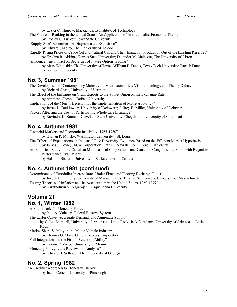by Lester C. Thurow, Massachusetts Institute of Technology

- "The Future of Banking in the United States: An Application of Institutionalist Economic Theory" by Dudley G. Luckett, Iowa State University
- "'Supply-Side' Economics: A Diagrammatic Exposition"
- by Edward Shapiro, The University of Toledo
- "Rapidly Rising Prices of Crude Oil and Natural Gas and Their Impact on Production Out of the Existing Reserves"
- by Krishna R. Akkina, Kansas State University; Devinder M. Malhotra, The University of Akron "Announcement Impact on Securities of Future Option Trading"

by Mary Whiteside, The University of Texas; William P. Dukes, Texas Tech University; Patrick Dunne, Texas Tech University

#### **No. 3, Summer 1981**

"The Development of Contemporary Mainstream Macroeconomics: Vision, Ideology, and Theory Debate" by Richard Chase, University of Vermont

"The Effect of the Embargo on Grain Exports to the Soviet Union on the Exchange Rate" by Animesh Ghoshal, DePaul University

"Implications of the Merrill Decision for the Implementation of Monetary Policy" by James L. Butkiewicz, University of Delaware; Jeffrey B. Miller, University of Delaware

"Factors Affecting the Cost of Participating Whole Life Insurance" by Ravindra K. Kamath, Cleveland State University; Cheyeh Lin, University of Cincinnati

#### **No. 4, Autumn 1981**

"Financial Markets and Economic Instability, 1965-1980"

by Hyman P. Minsky, Washington University – St. Louis

"The Effects of Expectations on Industrial R  $\&$  D Activity: Evidence Based on the Efficient Market Hypothesis" by James J. Doyle, JACA Corporation; Frank J. Navratil, John Carroll University

"An Empirical Study of the Canadian Multinational Corporations and Canadian Conglomerate Firms with Regard to Performance Evaluation"

by Halim I. Bishara, University of Saskatchewan – Canada

#### **No. 4, Autumn 1981 (continued)**

"Determinants of Eurodollar Interest Rates Under Fixed and Floating Exchange Rates"

by Joseph E. Finnerty, University of Massachusetts; Thomas Schneeweis, University of Massachusetts "Testing Theories of Inflation and Its Acceleration in the United States, 1960-1979"

by Karatholuvu V. Nagarajan, Susquehanna University

#### **Volume 21 No. 1, Winter 1982**

"A Framework for Monetary Policy"

by Paul A. Volcker, Federal Reserve System

"The Laffer Curve, Aggregate Demand, and Aggregate Supply"

by C. Lee Mundell, University of Arkansas – Little Rock; Jack E. Adams, University of Arkansas – Little Rock

"Market Share Stability in the Motor Vehicle Industry"

by Thomas G. Marx, General Motors Corporation

"Full Integration and the Firm's Retention Ability"

by Dennis P. Zocco, University of Miami

"Monetary Policy Lags: Review and Analysis"

by Edward B. Selby, Jr. The University of Georgia

#### **No. 2, Spring 1982**

"A Creditist Approach to Monetary Theory" by Jacob Cohen, University of Pittsburgh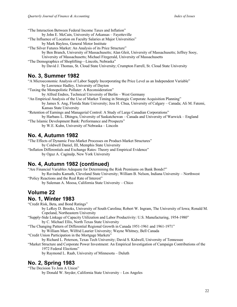"The Interaction Between Federal Income Taxes and Inflation"

by John E. McCain, University of Arkansas – Fayetteville

- "The Influence of Location on Faculty Salaries at Major Universities"
	- by Mark Bayless, General Motor Institute
- "The Silver Futures Market: An Analysis of its Price Structure"

by Ben Branch, University of Massachusetts; Alan Gleit, University of Massachusetts; Jeffrey Sooy, University of Massachusetts; Michael Fitzgerald, University of Massachusetts

"The Demographics of Shoplifting—Lincoln, Nebraska"

by David J. Thomas, St. Cloud State University; Crumpton Farrell, St. Cloud State University

#### **No. 3, Summer 1982**

"A Microeconomic Analysis of Labor Supply Incorporating the Price Level as an Independent Variable" by Lawrence Hadley, University of Dayton

"Taxing the Monopolistic Polluter: A Reconsideration"

- by Alfred Endres, Technical University of Berlin West Germany
- "An Empirical Analysis of the Use of Market Timing in Strategic Corporate Acquisition Planning" by James S. Ang, Florida State University; Jess H. Chua, University of Calgary – Canada; Ali M. Fatemi, Kansas State University

"Retention of Earnings and Managerial Control: A Study of Large Canadian Corporations" by Harbans L. Dhingra, University of Saskatchewan – Canada and University of Warwick – England

"The Islamic Development Bank: Performance and Prospects" by W.E. Kuhn, University of Nebraska – Lincoln

#### **No. 4, Autumn 1982**

"The Effects of Dynamic Free-Market Processes on Product-Market Structures" by Coldwell Daniel, III, Memphis State University "Inflation Differentials and Exchange Rates: Theory and Empirical Evidence"

by Oguz A. Caginalp, New York University

## **No. 4, Autumn 1982 (continued)**

"Are Financial Variables Adequate for Determining the Risk Premiums on Bank Bonds?"

by Ravindra Kamath, Cleveland State University; William B. Nelson, Indiana University – Northwest "Policy Reactions and the Real Rate of Interest"

by Suleman A. Moosa, California State University – Chico

# **Volume 22**

#### **No. 1, Winter 1983**

"Credit Risk, Beta, and Bond Ratings"

by LeRoy D. Brooks, University of South Carolina; Robert W. Ingram, The University of Iowa; Ronald M. Copeland, Northeastern University

"Supply-Side Linkage of Capacity Utilization and Labor Productivity: U.S. Manufacturing, 1954-1980" by C. Michael Ellis, North Texas State University

"The Changing Pattern of Differential Regional Growth in Canada 1951-1961 and 1961-1971"

by William Marr, Wilfrid Laurier University; Wayne Whitney, Bell Canada

"Credit Union Participation in the Mortgage Markets"

by Richard L. Peterson, Texas Tech University; David S. Kidwell, University of Tennessee

"Market Structure and Corporate Power Investment: An Empirical Investigation of Campaign Contributions of the 1972 Federal Elections"

by Raymond L. Raab, University of Minnesota – Duluth

## **No. 2, Spring 1983**

"The Decision To Join A Union"

by Donald W. Snyder, California State University – Los Angeles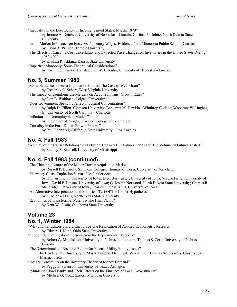"Inequality in the Distribution of Income: United States, March, 1979"

by Jerome A. Deichert, University of Nebraska – Lincoln; Clifford P. Dobitz, North Dakota State University

- "Labor Market Influences on Entry Vs. Nonentry Wages: Evidence from Minnesota Public School Districts" by David A. Pierson, Temple University
- "The Effects of Carrying Cost Uncertainty and Expected Price Changes on Inventories in the United States During 1959-1979"

by Krishna R. Akkina, Kansas State University

"Imperfect Monopoly: Some Theoretical Considerations"

by Karl Forchheimer, Translated by W. E. Kuhn, University of Nebraska – Lincoln

#### **No. 3, Summer 1983**

"Some Evidence on Asset Liquidation Losses: The Case of W.T. Grant" by Frederick C. Scherr, West Virginia University "The Impact of Conglomerate Mergers on Acquired Firms' Growth Rates" by Don E. Waldman, Colgate University "Does Government Spending Affect Industrial Concentration?" by Ralph D. Elliott, Clemson University; Benjamin M. Hawkins, Winthrop College; Woodrow W. Hughes, Jr., University of North Carolina – Charlotte "Inflation and Unemployment Models" by H. Sonmez Atesoglu, Clarkson College of Technology "Causality in the Euro-Dollar Growth Process"

by Paul Schnitzel, California State University – Los Angeles

#### **No. 4, Fall 1983**

"A Study of the Causal Relationships Between Treasury Bill Futures Prices and The Volume of Futures Tested" by Stanley R. Stansell, University of Mississippi

#### **No. 4, Fall 1983 (continued)**

"The Changing Nature of the Motor Carrier Acquisition Market"

by Russell P. Boisjoly, Simmons College; Thomas M. Corsi, University of Maryland

"Pharmacy Costs: Capitation Versus Fee-for-Service"

by Hyman Joseph, University of Iowa; Leon Burmeister, University of Iowa; Wayne Fisher, University of Iowa; David P. Lipson, University of Iowa; G. Joseph Norwood, North Dakota State University; Charles R. Standridge, University of Iowa; Charles E. Yesalis, III, University of Iowa

"An Alternative Interpretation and Empirical Test Of The Linder Hypothesis"

by C. Michael Ellis, North Texas State University

"Economics of Transferring Water To The High Plains"

by Kent W. Olson, Oklahoma State University

# **Volume 23**

#### **No. 1, Winter 1984**

"Why Journal Editors Should Encourage The Replication of Applied Econometric Research" by Edward J. Kane, Ohio State University

"Econometric Replication: Lessons from the Experimental Sciences"

by Robert A. Mittelstaedt, University of Nebraska – Lincoln; Thomas S. Zorn, University of Nebraska – Lincoln

"The Determinants of Risk and Return for Electric Utility Equity Issues"

by Ben Branch, University of Massachusetts; Alan Gleit, Versar, Inc.; Thomas Schneeweis, University of Massachusetts

"Integer Constraints on the Inventory Theory of Money Demand" by Peggy E. Swanson, University of Texas, Arlington

"Municipal Bond Banks and Their Effects on the Finances of Local Governments"

by Michael G. Vogt, Eastern Michigan University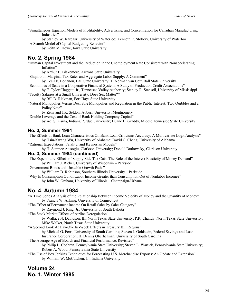"Simultaneous Equation Models of Profitability, Advertising, and Concentration for Canadian Manufacturing Industries"

by Stanley W. Kardasz, University of Waterloo; Kenneth R. Stollery, University of Waterloo "A Search Model of Capital Budgeting Behavior"

by Keith M. Howe, Iowa State University

## **No. 2, Spring 1984**

"Human Capital Investment and the Reduction in the Unemployment Rate Consistent with Nonaccelerating Inflation"

by Arthur E. Blakemore, Arizona State University

"Shapiro on Marginal Tax Rates and Aggregate Labor Supply: A Comment"

by Cecil E. Bohanon, Ball State University; T. Norman van Cott, Ball State University

"Economies of Scale in a Cooperative Financial System: A Study of Production Credit Associations"

by E. Tylor Claggett, Jr., Tennessee Valley Authority; Stanley R. Stansell, University of Mississippi "Faculty Salaries at a Small University: Does Sex Matter?"

by Bill D. Rickman, Fort Hays State University

"Natural Monopolies Versus Desirable Monopolies and Regulation in the Public Interest: Two Quibbles and a Policy Note"

by Zena and J.R. Seldon, Auburn University, Montgomery

"Double Leverage and the Cost of Bank Holding Company Capital"

by Adi S. Karna, Indiana/Purdue University; Duane B. Graddy, Middle Tennessee State University

#### **No. 3, Summer 1984**

"The Effects of Bank Loan Characteristics On Bank Loan Criticisms Accuracy: A Multivariate Logit Analysis" by Hsiu-Kwang Wu, University of Alabama; David C. Cheng, University of Alabama

"Rational Expectations, Fatality, and Keynesian Models"

by H. Sonmez Atesoglu, Clarkson University; Donald Dutkowsky, Clarkson University

#### **No. 3, Summer 1984 (continued)**

"The Expenditure Effects of Supply Side Tax Cuts: The Role of the Interest Elasticity of Money Demand" by William J. Rieber, University of Wisconsin – Parkside

"Government Bonds and Unstable Growth Paths"

by William D. Robinson, Southern Illinois University – Parkside

"Why Is Consumption Out of Labor Income Greater than Consumption Out of Nonlabor Income?" by John W. Graham, University of Illinois – Champaign-Urbana

#### **No. 4, Autumn 1984**

"A Time Series Analysis of the Relationship Between Income Velocity of Money and the Quantity of Money" by Francis W. Ahking, University of Connecticut

"The Effect of Permanent Income On Retail Sales by Sales Category"

by Raymond J. Ring, Jr., University of South Dakota

"The Stock Market Effects of Airline Deregulation"

by Wallace N. Davidson, III, North Texas State University; P.R. Chandy, North Texas State University; Mike Walker, North Texas State University

"A Second Look At Day-Of-The-Week Effects in Treasury Bill Returns"

by Michael G. Ferri, University of South Carolina; Steven J. Goldstein, Federal Savings and Loan Insurance Corporation; H. Dennis Oberhelman, University of South Carolina

"The Average Age of Boards and Financial Performance, Revisited"

by Philip L. Cochran, Pennsylvania State University; Steven L. Wartick, Pennsylvania State University; Robert A. Wood, Pennsylvania State University

"The Use of Box Jenkins Techniques for Forecasting U.S. Merchandise Exports: An Update and Extension" by William W. McCutchen, Jr., Indiana University

## **Volume 24 No. 1, Winter 1985**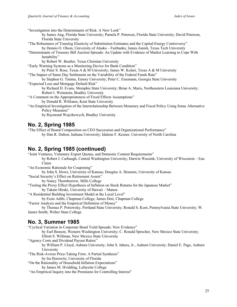"Investigation into the Determinants of Risk: A New Look"

by James Ang, Florida State University; Pamela P. Peterson, Florida State University; David Peterson, Florida State University

"The Robustness of Translog Elasticity of Substitution Estimates and the Capital-Energy Controversy" by Dennis O. Olson, University of Alaska – Fairbanks; James Jonish, Texas Tech University

"Determinants of Treasury Bill Auction Spreads: An Update with Evidence of Market Learning to Cope With Instability"

by Robert W. Boatler, Texas Christian University

"Early Warning Systems as a Monitoring Device for Bank Condition"

by Peter S. Rose, Texas A & M University; James W. Kolari, Texas A & M University

"The Impact of Same Day Settlement on the Variability of the Federal Funds Rate"

by Stephen G. Timme, Emory University; Peter C. Eisemann, Georgia State University "Expected Loss and Mortgage Default Risk"

by Richard D. Evans, Memphis State University; Brian A. Maris, Northeastern Louisiana University; Robert I. Weinstein, Bradley University

"A Comment on the Appropriateness of Fixed Effects Assumptions"

by Donald R. Williams, Kent State University

"An Empirical Investigation of the Interrelationship Between Monetary and Fiscal Policy Using Some Alternative Policy Measures"

by Raymond Wojcikewych, Bradley University

#### **No. 2, Spring 1985**

"The Effect of Board Composition on CEO Succession and Organizational Performance" by Dan R. Dalton, Indiana University; Idalene F. Kesner, University of North Carolina

## **No. 2, Spring 1985 (continued)**

"Joint Ventures, Voluntary Export Quotas, and Domestic Content Requirements" by Robert J. Carbaugh, Central Washington University; Darwin Wassink, University of Wisconsin – Eau Claire

"An Economic Rationale for Couponing"

by John S. Howe, University of Kansas; Douglas A. Houston, University of Kansas "Social Security's Effect on Retirement Assets"

by Nancy Thornborrow, Mills College

"Testing the Proxy Effect Hypothesis of Inflation on Stock Returns for the Japanese Market" by Takato Hiraki, University of Hawaii – Manoa

"A Residential Building Investment Model at the Local Level"

by Essie Adibi, Chapman College; James Doti, Chapman College

"Factor Analysis and the Empirical Definition of Money"

by Thomas P. Potiowsky, Portland State University; Ronald S. Koot, Pennsylvania State University; W. James Smith, Weber State College

#### **No. 3, Summer 1985**

"Cyclical Variation in Corporate Bond Yield Spreads: New Evidence"

by Earl Benson, Western Washington University; C. Ronald Sprecher, New Mexico State University; Elliott S. Willman, New Mexico State University

"Agency Costs and Dividend Payout Ratios"

by William P. Lloyd, Auburn University; John S. Jahera, Jr., Auburn University; Daniel E. Page, Auburn University

"The Risk-Averse Price-Taking Firm: A Partial Synthesis" by Ira Horowitz, University of Florida

"On the Rationality of Household Inflation Expectations"

by James M. Hvidding, Lafayette College

"An Empirical Inquiry into the Premiums for Controlling Interest"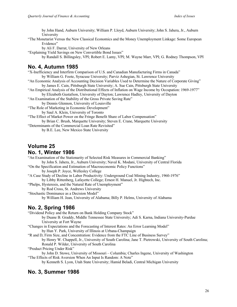by John Hand, Auburn University; William P. Lloyd, Auburn University; John S. Jahera, Jr., Auburn University

"The Monetarist Versus the New Classical Economics and the Money Unemployment Linkage: Some European Evidence"

by Ali F. Darrat, University of New Orleans

"Explaining Yield Savings on New Convertible Bond Issues"

by Randall S. Billingsley, VPI; Robert E. Lamy, VPI; M. Wayne Marr, VPI; G. Rodney Thompson, VPI

#### **No. 4, Autumn 1985**

"X-Inefficiency and Interfirm Comparison of U.S. and Canadian Manufacturing Firms in Canada"

by William G. Foote, Syracuse University; Parviz Ashegian, St. Lawrence University

- "An Economic Analysis of Accounting Decision Variables Used to Determine the Nature of Corporate Giving" by James E. Cain, Pittsburgh State University; A. Sue Cain, Pittsburgh State University
- "An Empirical Analysis of the Distributional Effects of Inflation on Wage Income by Occupation: 1969-1977" by Elizabeth Gustafson, University of Dayton; Lawrence Hadley, University of Dayton

"An Examination of the Stability of the Gross Private Saving Rate"

by Dennis Glennon, University of Louisville

"The Role of Marketing in Economic Development"

by Saul A. Klein, University of Toronto

"The Effect of Market Power on the Fringe Benefit Share of Labor Compensation" by Brian C. Brush, Marquette University; Steven E. Crane, Marquette University

"Determinants of the Commercial Loan Rate Revisited"

by B.E. Lee, New Mexico State University

## **Volume 25**

#### **No. 1, Winter 1986**

"An Examination of the Stationarity of Selected Risk Measures in Commercial Banking" by John S. Jahera, Jr., Auburn University; Naval K. Modani, University of Central Florida

"On the Specification and Estimation of Macroeconomic Policy Functions" by Joseph P. Joyce, Wellesley College

"A Case Study of Decline in Labor Productivity: Underground Coal Mining Industry, 1960-1976" by Libby Rittenberg, Lafayette College; Ernest H. Manuel, Jr. Hightech, Inc.

"Phelps, Hysteresis, and the Natural Rate of Unemployment"

by Rod Cross, St. Andrews University

"Stochastic Dominance as a Decision Model"

by William H. Jean, University of Alabama; Billy P. Helms, University of Alabama

## **No. 2, Spring 1986**

"Dividend Policy and the Return on Bank Holding Company Stock"

by Duane B. Graddy, Middle Tennessee State University; Adi S. Karna, Indiana University-Purdue University at Fort Wayne

"Changes in Expectations and the Forecasting of Interest Rates: An Error Learning Model" by Hun Y. Park, University of Illinois at Urbana-Champaign

"R and D, Firm Size, and Concentration: Evidence from the FTC Line of Business Survey" by Henry W. Chappell, Jr., University of South Carolina; Jane T. Pietrowski, University of South Carolina; Ronald P. Wilder, University of South Carolina

"Product Pricing Under Risk"

by John D. Stowe, University of Missouri – Columbia; Charles Ingene, University of Washington "The Effects of Risk Aversion When An Input Is Random: A Note"

by Kenneth S. Lyon, Utah State University; Hamid Beladi, Central Michigan University

## **No. 3, Summer 1986**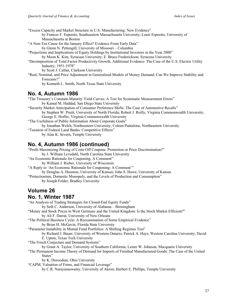"Excess Capacity and Market Structure in U.S. Manufacturing: New Evidence" by Frances F. Esposito, Southeastern Massachusetts University; Louis Esposito, University of Massachusetts at Boston "A Non-Tax Cause for the January Effect? Evidence From Early Data" by Glenn N. Pettengill, University of Missouri – Columbia "Projections and Implications of Equity Holdings by Institutional Investors in the Year 2000" by Moon K. Kim, Syracuse University; E. Bruce Frederickson, Syracuse University "Decomposition of Total Factor Productivity Growth, Additional Evidence: The Case of the U.S. Electric Utility Industry, 1951-1978" by Scott J. Callan, Clarkson University "Real, Nominal, and Price Adjustment in Generalized Models of Money Demand: Can We Improve Stability and Forecasts?" by Kenneth L. Smith, North Texas State University **No. 4, Autumn 1986**

"The Treasury's Constant-Maturity Yield Curves: A Test for Systematic Measurement Errors" by Kamal M. Haddad, San Diego State University "Security Market Anticipation of Consumer Preference Shifts: The Case of Automotive Recalls"

by Stephen W. Pruitt, University of North Florida; Robert J. Reilly, Virginia Commonwealth University; George E. Hoffer, Virginia Commonwealth University

"The Usefulness of Public Information About Corporate Goals" by Jonathan Welch, Northeastern University; Coleen Pantalone, Northeastern University "Taxation of Federal Land Banks: Competitive Effects"

by Alan K. Severn, Temple University

## **No. 4, Autumn 1986 (continued)**

"Profit Maximizing Pricing of Cents Off Coupons: Promotion or Price Discrimination?"

by J. William Levedahl, North Carolina State University

"An Economic Rationale for Couponing: A Comment"

by William J. Rieber, University of Wisconsin

"A Reply to 'An Economic Rationale for Couponing: A Comment'" by Douglas A. Houston, University of Kansas; John S. Howe, University of Kansas

"Protectionism, Domestic Monopoly, and the Levels of Production and Consumption"

by Joseph Felder, Bradley University

#### **Volume 26 No. 1, Winter 1987**

"An Analysis of Trading Strategies for Closed-End Equity Funds"

by Seth C. Anderson, University of Alabama – Birmingham

"Money and Stock Prices in West Germany and the United Kingdom: Is the Stock Market Efficient?" by Ali F. Darrat, University of New Orleans

"The Political Business Cycle: A Reexamination of Some Empirical Evidence"

by Brian H. McGavin, Florida State University

"Parameter Instability in Mutual Fund Portfolios: A Shifting Regimes Test"

by Richard J. Bauer, University of Western Ontario; Patrick A. Hays, Western Carolina University; David E. Upton, Texas Tech University

"The Frisch Conjecture and Demand Systems"

by Grant A. Taylor, University of Southern California; Lester W. Johnson, Macquarie University

"The Permanent Income Theory of Demand for Imports of Finished Manufactured Goods: The Case of the United States"

by K. Doroodian, Ohio University

"CAPM, Valuation of Firms, and Financial Leverage"

by C.R. Narayanaswamy, University of Akron; Herbert E. Phillips, Temple University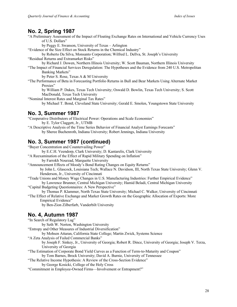#### **No. 2, Spring 1987**

"A Preliminary Assessment of the Impact of Floating Exchange Rates on International and Vehicle Currency Uses of U.S. Dollars"

by Peggy E. Swanson, University of Texas – Arlington

"Evidence of the Size Effect on Stock Returns in the Chemical Industry"

by Roberto Da Silva, Monsanto Corporation; Wilfred L. Dellva, St. Joseph's University "Residual Returns and Extramarket Risks"

by Richard J. Dowen, Northern Illinois University; W. Scott Bauman, Northern Illinois University

"The Impact of Financial Services Deregulation: The Hypotheses and the Evidence from 240 U.S. Metropolitan Banking Markets"

by Peter S. Rose, Texas A & M University

"The Performance of Beta in Forecasting Portfolio Returns in Bull and Bear Markets Using Alternate Market Proxies"

by William P. Dukes, Texas Tech University; Oswald D. Bowlin, Texas Tech University; S. Scott MacDonald, Texas Tech University

"Nominal Interest Rates and Marginal Tax Rates"

by Michael T. Bond, Cleveland State University; Gerald E. Smolen, Youngstown State University

## **No. 3, Summer 1987**

"Cooperative Distributors of Electrical Power: Operations and Scale Economies" by E. Tylor Claggett, Jr., UTMB

"A Descriptive Analysis of the Time Series Behavior of Financial Analyst Earnings Forecasts" by Sheree Buchenroth, Indiana University; Robert Jennings, Indiana University

#### **No. 3, Summer 1987 (continued)**

"Buyer Concentration and Countervailing Power"

by E.C.H. Veendorp, Clark University; D. Kantarelis, Clark University

"A Reexamination of the Effect of Rapid Military Spending on Inflation"

by Farrokh Nourzad, Marquette University

"Announcement Effects of Moody's Bond Rating Changes on Equity Returns"

by John L. Glascock, Louisiana Tech; Wallace N. Davidson, III, North Texas State University; Glenn V. Henderson, Jr., University of Cincinnati

"Trade Unions and Money Wage Changes in U.S. Manufacturing Industries: Further Empirical Evidence" by Lawrence Brunner, Central Michigan University; Hamid Beladi, Central Michigan University

"Capital Budgeting Questionnaires: A New Perspective"

by Thomas P. Klammer, North Texas State University; Michael C. Walker, University of Cincinnati "The Effect of Relative Exchange and Market Growth Rates on the Geographic Allocation of Exports: More

Empirical Evidence" by Ben-Zion Zilberfarb, Vanderbilt University

## **No. 4, Autumn 1987**

"In Search of Regulatory Lag"

by Seth W. Norton, Washington University

"Entropy and Other Measures of Industrial Diversification"

by Mohsen Attaran, California State College; Martin Zwick, Systems Science

"A Zeta Analysis of Failed Commercial Banks"

by Joseph F. Sinkey, Jr., University of Georgia; Robert R. Dince, University of Georgia; Joseph V. Terza, University of Georgia

"The Estimation of Corporate Bond Yield Curves as a Function of Term-to-Maturity and Coupon" by Tom Barnes, Brock University; David A. Burnie, University of Tennessee

"The Relative Income Hypothesis: A Review of the Cross-Section Evidence"

by George Kosicki, College of the Holy Cross

"Commitment in Employee-Owned Firms—Involvement or Entrapment?"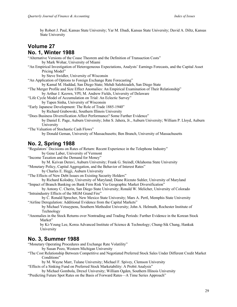by Robert J. Paul, Kansas State University; Yar M. Ebadi, Kansas State University; David A. Diltz, Kansas State University

## **Volume 27 No. 1, Winter 1988**

"Alternative Versions of the Coase Theorem and the Definition of Transaction Costs" by Mark Wohar, University of Miami "An Empirical Investigation of Heterogeneous Expectations, Analysts' Earnings Forecasts, and the Capital Asset Pricing Model" by Steve Swidler, University of Wisconsin "An Application of Options to Foreign Exchange Rate Forecasting" by Kamal M. Haddad, San Diego State; Mehdi Salehizadeh, San Diego State "The Merger Profile and Size Effect Anomalies: An Empirical Examination of Their Relationship" by Arthur J. Keown, VPI; M. Andrew Fields, University of Delaware "Life Cycle Model of Accumulation on Trial: An Eclectic Survey" by Tapen Sinha, University of Wisconsin "Early Japanese Development: The Role of Trade 1885-1940" by Richard Grabowski, Southern Illinois University "Does Business Diversification Affect Performance? Some Further Evidence" by Daniel E. Page, Auburn University; John S. Jahera, Jr., Auburn University; William P. Lloyd, Auburn University "The Valuation of Stochastic Cash Flows" by Donald Geman, University of Massachusetts; Ben Branch, University of Massachusetts

## **No. 2, Spring 1988**

"Regulators' Decisions on Rates of Return: Recent Experience in the Telephone Industry" by Gene Laber, University of Vermont "Income Taxation and the Demand for Money" by M. Keivan Deravi, Auburn University; Frank G. Steindl, Oklahoma State University "Monetary Policy, Capital Aggregation, and the Behavior of Interest Rates" by Charles E. Hegji, Auburn University "The Effects of New Debt Issues on Existing Security Holders" by Richard Kolodny, University of Maryland; Diane Rizzuto Suhler, University of Maryland "Impact of Branch Banking on Bank Firm Risk Via Geographic Market Diversification" by Antony C. Cherin, San Diego State University; Ronald W. Melicher, University of Colorado "Intraindustry Effects of the MGM Grand Fire" by C. Ronald Sprecher, New Mexico State University; Mars A. Pertl, Memphis State University "Airline Deregulation: Additional Evidence from the Capital Markets" by Michael Vetsuypens, Southern Methodist University; John A. Helmuth, Rochester Institute of Technology "Anomalies in the Stock Returns over Nontrading and Trading Periods: Further Evidence in the Korean Stock Market" by Ki-Young Lee, Korea Advanced Institute of Science & Technology; Chung-Sik Chang, Hankuk

## **No. 3, Summer 1988**

University

"Monetary Operating Procedures and Exchange Rate Volatility"

by Susan Pozo, Western Michigan University

- "The Cost Relationship Between Competitive and Negotiated Preferred Stock Sales Under Different Credit Market Conditions"
- by M. Wayne Marr, Tulane University; Michael F. Spivey, Clemson University
- "Effects of a Sinking Fund on Preferred Stock Marketability: A Probit Analysis"
- by Michael Gombola, Drexel University; William Ogden, Southern Illinois University "Predicting Future Spot Rates on the Basis of Forward Rates—A Time Series Approach"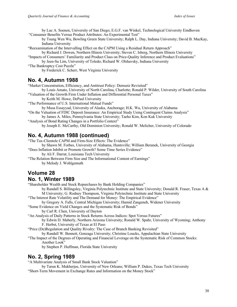by Luc A. Soenen, University of San Diego; E.G.F. van Winkel, Technological University Eindhoven "Consumer Benefits Versus Product Attributes: An Experimental Test"

by Tsung Wen Wu, Bowling Green State University; Ralph L. Day, Indiana University; David B. MacKay, Indiana University

"Reexamination of the Intervalling Effect on the CAPM Using a Residual Return Approach"

by Richard J. Dowen, Northern Illinois University; Steven C. Isberg, Northern Illinois University

"Impacts of Consumers' Familiarity and Product Class on Price-Quality Inference and Product Evaluations"

by Jeen-Su Lim, University of Toledo; Richard W. Olshavsky, Indiana University "The Bankruptcy Cost Puzzle"

by Frederick C. Scherr, West Virginia University

#### **No. 4, Autumn 1988**

"Market Concentration, Efficiency, and Antitrust Policy: Demsetz Revisited"

by Louis Amato, University of North Carolina, Charlotte; Ronald P. Wilder, University of South Carolina "Valuation of the Growth Firm Under Inflation and Differential Personal Taxes"

by Keith M. Howe, DePaul University

"The Performance of U.S. International Mutual Funds"

by Musa Essayyad, University of Alaska, Anchorage; H.K. Wu, University of Alabama

"On the Valuation of FDIC Deposit Insurance: An Empirical Study Using Contingent Claims Analysis" by James A. Miles, Pennsylvania State University; Taeho Kim, Kon Kuk University

"Analysis of Bond Rating Changes in a Portfolio Context"

by Joseph E. McCarthy, Old Dominion University; Ronald W. Melicher, University of Colorado

## **No. 4, Autumn 1988 (continued)**

"The Tax-Clientele CAPM and Firm-Size Effects: The Evidence"

by Shawn M. Forbes, University of Alabama, Huntsville; William Beranek, University of Georgia "Does Inflation Inhibit or Promote Growth? Some Time Series Evidence"

by Ali F. Darrat, Louisiana Tech University

"The Relation Between Firm Size and The Informational Content of Earnings" by Melody J. Wohlgemuth

# **Volume 28**

**No. 1, Winter 1989**

"Shareholder Wealth and Stock Repurchases by Bank Holding Companies"

by Randall S. Billingsley, Virginia Polytechnic Institute and State University; Donald R. Fraser, Texas A & M University; G. Rodney Thompson, Virginia Polytechnic Institute and State University

"The Interest Rate Volatility and The Demand for Money: The Empirical Evidence"

by Gregory A. Falls, Central Michigan University; Hamid Zangeneh, Widener University

"Some Evidence on Yield Changes and the Systematic Risk of Bonds"

by Carl R. Chen, University of Dayton

"An Analysis of Daily Patterns in Stock Returns Across Indices: Spot Versus Futures"

by Edwin D. Maberly, Northern Arizona University; Ronald W. Spahr, University of Wyoming; Anthony F. Herbst, University of Texas at El Paso

"Price (De)Regulation and Quality Rivalry: The Case of Branch Banking Revisited"

by Randall W. Bennett, Gonzaga University; Christine Loucks, Appalachian State University

"The Impact of the Degrees of Operating and Financial Leverage on the Systematic Risk of Common Stocks: Another Look"

by Stephen P. Huffman, Florida State University

#### **No. 2, Spring 1989**

"A Multivariate Analysis of Small Bank Stock Valuation"

by Tarun K. Mukherjee, University of New Orleans; William P. Dukes, Texas Tech University "Short-Term Movement in Exchange Rates and Information on the Money Stock"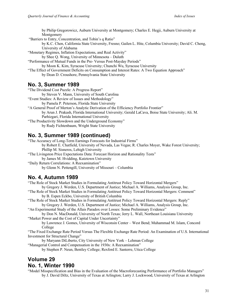by Philip Gregorowicz, Auburn University at Montgomery; Charles E. Hegji, Auburn University at Montgomery "Barriers to Entry, Concentration, and Tobin's q Ratio" by K.C. Chen, California State University, Fresno; Gailen L. Hite, Columbia University; David C. Cheng, University of Alabama "Monetary Regimes, Inflation Expectations, and Real Activity" by Shee Q. Wong, University of Minnesota – Duluth "Performance of Mutual Funds in the Pre- Versus Post-Mayday Periods" by Moon K. Kim, Syracuse University; Chunchi Wu, Syracuse University "The Effect of Government Deficits on Consumption and Interest Rates: A Two Equation Approach" by Dean D. Croushore, Pennsylvania State University

#### **No. 3, Summer 1989**

"The Dividend Cost Puzzle: A Progress Report" by Steven V. Mann, University of South Carolina "Event Studies: A Review of Issues and Methodology" by Pamela P. Peterson, Florida State University "A General Proof of Merton's Analytic Derivation of the Efficiency Portfolio Frontier" by Arun J. Prakash, Florida International University; Gerald LaCava, Boise State University; Ali. M. Parhizgari, Florida International University "The Productivity Slowdown and the Underground Economy" by Rudy Fichtenbaum, Wright State University

#### **No. 3, Summer 1989 (continued)**

"The Accuracy of Long-Term Earnings Forecasts for Industrial Firms" by Robert E. Chatfield, University of Nevada, Las Vegas; R. Charles Moyer, Wake Forest University; Phillip M. Sisneros, Lehigh University

"The Livingston Price Expectations Data: Forecast Horizon and Rationality Tests" by James M. Hvidding, Kutztown University

"Daily Return Correlations: A Reexamination"

by Glenn N. Pettengill, University of Missouri – Columbia

#### **No. 4, Autumn 1989**

"The Role of Stock Market Studies in Formulating Antitrust Policy Toward Horizontal Mergers"

- by Gregory J. Werden, U.S. Department of Justice; Michael A. Williams, Analysis Group, Inc.
- "The Role of Stock Market Studies in Formulating Antitrust Policy Toward Horizontal Mergers: Comment" by B. Espen Eckbo, University of British Columbia
- "The Role of Stock Market Studies in Formulating Antitrust Policy Toward Horizontal Mergers: Reply" by Gregory J. Werden, U.S. Department of Justice; Michael A. Williams, Analysis Group, Inc.

"An Experimental Study of the Allais Paradox over Losses: Some Preliminary Evidence"

by Don N. MacDonald, University of North Texas; Jerry L. Wall, Northeast Louisiana University "Market Power and the Cost of Capital Under Uncertainty"

by Lawrence J. Gomes, University of Wisconsin Center – West Bend; Muhammad M. Islam, Concord College

"The Fixed Exchange Rate Period Versus The Flexible Exchange Rate Period: An Examination of U.S. International Investment for Structural Change"

by Maryann DiLiberto, City University of New York – Lehman College

"Managerial Control and Compensation in the 1930s: A Reexamination"

by Stephen P. Neun, Bentley College; Rexford E. Santerre, Utica College

#### **Volume 29 No. 1, Winter 1990**

"Model Misspecification and Bias in the Evaluation of the Macroforecasting Performance of Portfolio Managers" by J. David Diltz, University of Texas at Arlington; Larry J. Lockwood, University of Texas at Arlington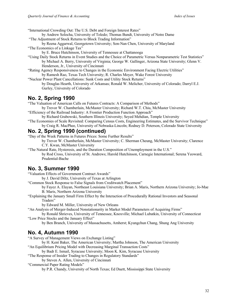"International Crowding Out: The U.S. Debt and Foreign Interest Rates"

by Andrew Solocha, University of Toledo; Thomas Bundt, University of Notre Dame "The Adjustment of Stock Returns to Block Trading Information"

by Reena Aggarwal, Georgetown University; Son-Nan Chen, University of Maryland "The Economics of a Linkage Tax"

by E. Bruce Hutchinson, University of Tennessee at Chattanooga

"Using Daily Stock Returns in Event Studies and the Choice of Parametric Versus Nonparametric Test Statistics" by Michael A. Berry, University of Virginia; George W. Gallinger, Arizona State University; Glenn V. Henderson, Jr., University of Cincinnati

"Rating Agency Responsiveness to Changes in the Economic Environment Facing Electric Utilities" by Ramesh Rao, Texas Tech University; R. Charles Moyer, Wake Forest University

"Nuclear Power Plant Cancellations: Sunk Costs and Utility Stock Returns" by Douglas Hearth, University of Arkansas; Ronald W. Melicher, University of Colorado; Darryl E.J. Gurley, University of Colorado

#### **No. 2, Spring 1990**

"The Valuation of American Calls on Futures Contracts: A Comparison of Methods"

by Trevor W. Chamberlain, McMaster University; Richard W.T. Chiu, McMaster University "Efficiency of the Railroad Industry: A Frontier Production Function Approach"

by Richard Grabowski, Southern Illinois University; Seyed Mehdian, Temple University

"The Economies of Scale Revisited: Comparing Census Costs, Engineering Estimates, and the Survivor Technique" by Craig R. MacPhee, University of Nebraska-Lincoln; Rodney D. Peterson, Colorado State University

## **No. 2, Spring 1990 (continued)**

"Day of the Week Patterns in Futures Prices: Some Further Results"

by Trevor W. Chamberlain, McMaster University; C. Sherman Cheung, McMaster University; Clarence C.Y. Kwan, McMaster University

"The Natural Rate, Hysteresis, and the Duration Composition of Unemployment in the U.S." by Rod Cross, University of St. Andrews; Harold Hutchinson, Carnegie International; Serena Yeoward, Prudential-Bache

## **No. 3, Summer 1990**

"Valuation Effects of Government Contract Awards"

by J. David Diltz, University of Texas at Arlington

"Common Stock Response to False Signals from Creditwatch Placement"

by Fayez A. Elayan, Northeast Louisiana University; Brian A. Maris, Northern Arizona University; Jo-Mae B. Maris, Northern Arizona University

"Explaining the January Small Firm Effect by the Interaction of Procedurally Rational Investors and Seasonal Traders"

by Edward M. Miller, University of New Orleans

"An Analysis of Merger-Induced Nonstationarity in Market Model Parameters of Acquiring Firms"

by Ronald Shrieves, University of Tennessee, Knoxville; Michael Lubatkin, University of Connecticut "Low Price Stocks and the January Effect"

by Ben Branch, University of Massachusetts, Amherst; Kyungchun Chang, Shung Ang University

## **No. 4, Autumn 1990**

"A Survey of Management Views on Exchange Listing"

by H. Kent Baker, The American University; Martha Johnson, The American University

"An Equilibrium Pricing Model with Decreasing Marginal Transaction Costs"

by Badr E. Ismail, Syracuse University; Moon K. Kim, Syracuse University

"The Response of Insider Trading to Changes in Regulatory Standards"

by Steven A. Allen, University of Cincinnati

"Commercial Paper Rating Models"

by P.R. Chandy, University of North Texas; Ed Duett, Mississippi State University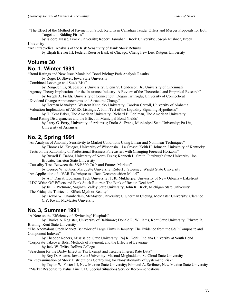"The Effect of the Method of Payment on Stock Returns in Canadian Tender Offers and Merger Proposals for Both Target and Bidding Firms"

by Isidore Masse, Brock University; Robert Hanrahan, Brock University; Joseph Kushner, Brock University

"An Intracyclical Analysis of the Risk Sensitivity of Bank Stock Returns"

by Elijah Brewer III, Federal Reserve Bank of Chicago; Cheng Few Lee, Rutgers University

#### **Volume 30 No. 1, Winter 1991**

"Bond Ratings and New Issue Municipal Bond Pricing: Path Analysis Results" by Roger D. Stover, Iowa State University

"Combined Leverage and Stock Risk"

by Rong-Jen Li, St. Joseph's University; Glenn V. Henderson, Jr., University of Cincinnati

"Agency-Theory Implications for the Insurance Industry: A Review of the Theoretical and Empirical Research"

by Joseph A. Fields, University of Connecticut; Dogan Tirtiroglu, University of Connecticut "Dividend Change Announcements and Structural Change"

by Herman Manakyan, Western Kentucky University; Carolyn Carroll, University of Alabama "Valuation Implications of AMEX Listings: A Joint Test of the Liquidity-Signaling Hypothesis"

by H. Kent Baker, The American University; Richard B. Edelman, The American University "Bond Rating Discrepancies and the Effect on Municipal Bond Yields"

by Larry G. Perry, University of Arkansas; Dorla A. Evans, Mississippi State University; Pu Liu, University of Arkansas

## **No. 2, Spring 1991**

"An Analysis of Anomaly Sensitivity to Market Conditions Using Linear and Nonlinear Techniques" by Thomas M. Krueger, University of Wisconsin – La Crosse; Keith H. Johnson, University of Kentucky

"Tests on the Rationality of Professional Business Forecasters with Changing Forecast Horizons" by Russell E. Dabbs, University of North Texas; Kenneth L. Smith, Pittsburgh State University; Joe Brocato, Tarleton State University

"Causality Tests Between the S&P 500 Cash and Futures Markets"

by George W. Kutner, Marquette University; Robert J. Sweeney, Wright State University "An Application of a VAR Technique to a Beta Decomposition Model"

by A.F. Darrat, Louisiana Tech University; T. K. Mukherjee, University of New Orleans – Lakefront "LDC Write-Off Effects and Bank Stock Returns: The Bank of Boston Decision"

by Jill L. Wetmore, Saginaw Valley State University; John R. Brick, Michigan State University "The Friday the Thirteenth Effect: Myth or Reality"

by Trevor W. Chamberlain, McMaster University; C. Sherman Cheung, McMaster University; Clarence C.Y. Kwan, McMaster University

#### **No. 3, Summer 1991**

"A Note on the Efficiency of 'Switching' Hospitals"

by Charles A. Register, University of Baltimore; Donald R. Williams, Kent State University; Edward R. Bruning, Kent State University

"The Anomalous Stock Market Behavior of Large Firms in January: The Evidence from the S&P Composite and Component Indexes"

by Theodor Kohers, Mississippi State University; Raj K. Kohli, Indiana University at South Bend

"Corporate Takeover Bids, Methods of Payment, and the Effects of Leverage"

by Jack W. Trifts, Rollins College

"Searching for the Darby Effect in Tax Exempt and Taxable Interest Rate Data"

by Roy D. Adams, Iowa State University; Masoud Moghaddam, St. Cloud State University

"A Reexamination of Stock Distributions Controlling for Nonstationarity of Systematic Risk"

by Taylor W. Foster III, New Mexico State University; Edmund A. Scribner, New Mexico State University "Market Response to Value Line OTC Special Situations Service Recommendations"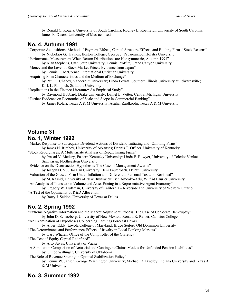by Ronald C. Rogers, University of South Carolina; Rodney L. Roenfeldt, University of South Carolina; James E. Owers, University of Massachusetts

#### **No. 4, Autumn 1991**

- "Corporate Acquisitions: Method of Payment Effects, Capital Structure Effects, and Bidding Firms' Stock Returns" by Nickolaos G. Travlos, Boston College; George J. Papaioannou, Hofstra University "Performance Measurement When Return Distributions are Nonsymmetric, Autumn 1991" by Alan Stephens, Utah State University; Dennis Proffitt, Grand Canyon University
- "Money and the Level of Stock Market Prices: Evidence from Japan"

by Dennis C. McCornac, International Christian University

"Acquiring Firm Characteristics and the Medium of Exchange"

by Paul K. Chaney, Vanderbilt University; Linda Lovata, Southern Illinois University at Edwardsville; Kirk L. Philipich, St. Louis University

"Replications in the Finance Literature: An Empirical Study"

by Raymond Hubbard, Drake University; Daniel E. Vetter, Central Michigan University

"Further Evidence on Economies of Scale and Scope in Commercial Banking" by James Kolari, Texas A & M University; Asghar Zardkoohi, Texas A & M University

## **Volume 31 No. 1, Winter 1992**

"Market Response to Subsequent Dividend Actions of Dividend-Initiating and -Omitting Firms" by James N. Rimbey, University of Arkansas; Dennis T. Officer, University of Kentucky

"Stock Repurchases: A Multivariate Analysis of Repurchasing Firms"

by Prasad V. Medury, Eastern Kentucky University; Linda E. Bowyer, University of Toledo; Venkat Srinivasan, Northeastern University

"Evidence on the Overreaction Hypothesis: The Case of Management Awards" by Joseph D. Vu, Bar Ilan University; Beni Lauterbach, DePaul University

"Valuation of the Growth Firm Under Inflation and Differential Personal Taxation Revisited" by M. Rashid, University of New Brunswick; Ben Amoako-Adu, Wilfrid Laurier University

"An Analysis of Transaction Volume and Asset Pricing in a Representative Agent Economy"

by Gregory W. Huffman, University of California – Riverside and University of Western Ontario "A Test of the Optimality of R&D Allocation"

by Barry J. Seldon, University of Texas at Dallas

## **No. 2, Spring 1992**

"Extreme Negative Information and the Market Adjustment Process: The Case of Corporate Bankruptcy" by John D. Schatzberg, University of New Mexico; Ronald R. Reiber, Canisius College "An Examination of Hypotheses Concerning Earnings Forecast Errors" by Albert Eddy, Loyola College of Maryland; Bruce Seifert, Old Dominion University "The Determinants and Performance Effects of Rivalry in Local Banking Markets" by Gary Whalen, Office of the Comptroller of the Currency "The Cost of Equity Capital Redefined" by Arto Suvas, University of Vaasa "A Simulation Comparison of Actuarial and Contingent Claims Models for Unfunded Pension Liabilities" by G. Lee Willinger, University of Oklahoma

"The Role of Revenue Sharing in Optimal Stabilization Policy"

by Dennis W. Jansen, George Washington University; Michael D. Bradley, Indiana University and Texas A & M University

## **No. 3, Summer 1992**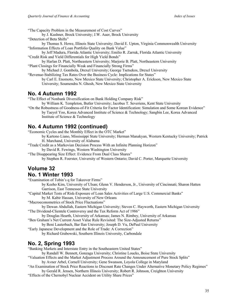"The Capacity Problem in the Measurement of Cost Curves"

by J. Kushner, Brock University; J.W. Auer, Brock University

"Detection of Beta Shifts"

by Thomas S. Howe, Illinois State University; David E. Upton, Virginia Commonwealth University "Information Effects of Loan Portfolio Quality on Bank Value"

by Jeff Madura, Florida Atlantic University; Emilio R. Zarruk, Florida Atlantic University "Credit Risk and Yield Differentials for High Yield Bonds"

by Harlan D. Platt, Northeastern University; Marjorie B. Platt, Northeastern University "Plant Closings for Financially Weak and Financially Strong Firms"

by Michael J. Gombola, Drexel University; George Tsetsekos, Drexel University

"Revenue-Stabilizing Tax Rates Over the Business Cycle: Implications for States" by Carl E. Enomoto, New Mexico State University; Christopher A. Erickson, New Mexico State University; Soumendra N. Ghosh, New Mexico State University

#### **No. 4 Autumn 1992**

"The Effect of Nonbank Diversification on Bank Holding Company Risk"

by William K. Templeton, Butler University; Jacobus T. Severiens, Kent State University

"On the Robustness of Goodness-of-Fit Criteria for Factor Identification: Simulation and Some Korean Evidence" by Taeyol Yoo, Korea Advanced Institute of Science & Technology; Sangbin Lee, Korea Advanced Institute of Science & Technology

## **No. 4 Autumn 1992 (continued)**

"Economic Cycles and the Monthly Effect in the OTC Market"

- by Kartono Liano, Mississippi State University; Herman Manakyan, Western Kentucky University; Patrick H. Marchand, University of Alabama
- "Trade Credit as a Markovian Decision Process With an Infinite Planning Horizon"

by David R. Fewings, Western Washington University

"The Disappearing Size Effect: Evidence From Dual Class Shares"

by Stephen R. Foerster, University of Western Ontario; David C. Porter, Marquette University

## **Volume 32 No. 1 Winter 1993**

"Examination of Tobin's q for Takeover Firms"

by Keeho Kim, University of Ulsan; Glenn V. Henderson, Jr., University of Cincinnati; Sharon Hatten Garrison, East Tennessee State University

"Capital Market Tests of Risk-Exposure of Loan Sales Activities of Large U.S. Commercial Banks" by M. Kabir Hassan, University of New Orleans

"Macroeconometrics of Stock Price Fluctuations"

by Dewan Abdullah, Eastern Michigan University; Steven C. Hayworth, Eastern Michigan University "The Dividend-Clientele Controversy and the Tax Reform Act of 1986"

by Douglas Hearth, University of Arkansas; James N. Rimbey, University of Arkansas

"Ben Graham's Net Current Asset Value Rule Revisited: The Size-Adjusted Returns"

by Beni Lauterbach, Bar Ilan University; Joseph D. Vu, DePaul University

"Early Japanese Development and the Role of Trade: A Correction"

by Richard Grabowski, Southern Illinois University, Carbondale

## **No. 2, Spring 1993**

"Banking Markets and Interstate Entry in the Southeastern United States"

by Randall W. Bennett, Gonzaga University; Christine Loucks, Boise State University

"Valuation Effects and the Market Adjustment Process Around the Announcement of Pure Stock Splits"

by Avner Arbel, Cornell University; Gene Swanson, Loyola College in Maryland

"An Examination of Stock Price Reactions to Discount Rate Changes Under Alternative Monetary Policy Regimes" by Gerald R. Jensen, Northern Illinois University; Robert R. Johnson, Creighton University

"Effects of the Chernobyl Nuclear Accident on Utility Share Prices"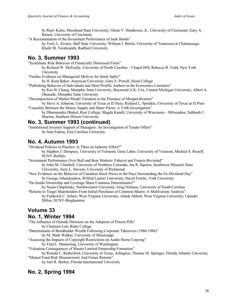by Rajiv Kalra, Moorhead State University; Glenn V. Henderson, Jr., University of Cincinnati; Gary A. Raines, University of Cincinnati

"A Reexamination of the Investment Performance of Junk Bonds"

by Terry L. Zivney, Ball State University; William J. Bertin, University of Tennessee at Chattanooga; Khalil M. Torabzadeh, Radford University

#### **No. 3, Summer 1993**

"Systematic Risk Behavior of Financially Distressed Firms"

by Richard W. McEnally, University of North Carolina – Chapel Hill; Rebecca B. Todd, New York University

"Further Evidence on Managerial Motives for Stock Splits"

by H. Kent Baker, American University; Gary E. Powell, Hood College

"Publishing Behavior of Individuals and Most Prolific Authors in the Economics Literature"

by Kee H. Chung, Memphis State University; Raymond A.K. Cox, Central Michigan University; Albert A. Okunade, Memphis State University

"Decomposition of Market Model Variation in the Presence of Misspecification"

by Steve A. Johnson, University of Texas at El Paso; Richard L. Sprinkle, University of Texas at El Paso "Causality Between the Money Supply and Share Prices: A VAR Investigation"

by Dharmendra Dhakal, Rust College; Magda Kandil, University of Wisconsin – Milwaukee; Subhash C. Sharma, Southern Illinois University

#### **No. 3, Summer 1993 (continued)**

"Institutional Investor Support of Managers: An Investigation of Tender Offers" by Stan Eakins, East Carolina University

#### **No. 4, Autumn 1993**

"Dividend Policies in Practice: Is There an Industry Effect?"

by Stephen J. Dempsey, University of Vermont; Gene Laber, University of Vermont; Michael S. Rozeff, SUNY-Buffalo

"Investment Performance Over Bull and Bear Markets: Fabozzi and Francis Revisited" by John M. Clinebell, University of Northern Colorado; Jan R. Squires, Southwest Missouri State University; Jerry L. Stevens, University of Richmond

"New Evidence on the Behavior of Canadian Stock Prices in the Days Surrounding the Ex-Dividend Day" by George Athanassakos, Wilfrid Laurier University; David Fowler, York University

"Do Inside Ownership and Leverage Share Common Determinants?"

by Susan Chaplinsky, Northwestern University; Greg Niehaus, University of South Carolina "Returns to Target Shareholders From Initial Purchases of Common Shares: A Multivariate Analysis"

by Frederick C. Scherr, West Virginia University; Ashok Abbott, West Virginia University; Upinder Dillon, SUNY-Binghamton

#### **Volume 33 No. 1, Winter 1994**

"The Influence of Outside Directors on the Adoption of Poison Pills"

by Charmen Loh, Rider College

"Determinants of Bondholder Wealth Following Corporate Takeovers (1980-1988)"

by M. Mark Walker, University of Mississippi

- "Assessing the Impacts of Copyright Restrictions on Audio Home Copying"
	- by Fred L. Mannering, University of Washington

"Valuation Consequences of Master Limited Partnership Formation"

by Ronald C. Rutherford, University of Texas, Arlington; Thomas M. Springer, Florida Atlantic University "Mutual Fund Risk Measurement And Future Returns"

by Joel R. Barber, Florida International University

## **No. 2, Spring 1994**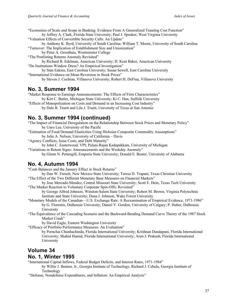"Economies of Scale and Scope in Banking: Evidence From A Generalized Translog Cost Function" by Jeffrey A. Clark, Florida State University; Paul J. Speaker, West Virginia University

"Valuation Effects of Convertible Security Calls: An Update"

by Anthony K. Byrd, University of South Carolina; William T. Moore, University of South Carolina "Turnover: The Implication of Establishment Size and Unionization"

by Peter A. Groothuis, Westminster College

"The Postlisting Returns Anomaly Revisited"

by Richard B. Edelman, American University; H. Kent Baker, American University "Do Institutions Window Dress? An Empirical Investigation"

by Stan Eakins, East Carolina University; Susan Sewell, East Carolina University "International Evidence on Mean Reversion in Stock Prices"

by Steven J. Cochran, Villanova University; Robert H. DeFina, Villanova University

#### **No. 3, Summer 1994**

"Market Response to Earnings Announcements: The Effects of Firm Characteristics" by Kirt C. Butler, Michigan State University; Ki C. Han, Suffolk University

"Effects of Monopolization on Costs and Demand in an Increasing Cost Industry" by Dale B. Truett and Lila J. Truett, University of Texas at San Antonio

## **No. 3, Summer 1994 (continued)**

"The Impact of Financial Deregulation on the Relationship Between Stock Prices and Monetary Policy" by Unro Lee, University of the Pacific

"Estimation of Food Demand Elasticities Using Hicksian Composite Commodity Assumptions"

by Julie A. Nelson, University of California – Davis

"Agency Conflicts, Issue Costs, and Debt Maturity"

by John C. Easterwood, VPI; Palani-Rajan Kadapakkam, University of Michigan

"Variations in Return Signs: Announcements and the Weekday Anomaly" by Glenn N. Pettengill, Emporia State University; Donald E. Buster, University of Alabama

## **No. 4, Autumn 1994**

"Cash Balances and the January Effect in Stock Returns"

by Dan W. French, New Mexico State University; Teresa D. Trapani, Texas Christian University "The Effect of the Two Different Monetary Base Measures on Financial Markets"

by Jose Mercado-Mendez, Central Missouri State University; Scott E. Hein, Texas Tech University "The Market Reaction to Voluntary Corporate Spin-Offs: Revisited"

by George Alfred Johnson, Winston-Salem State University; Robert M. Brown, Virginia Polytechnic Institute and State University; Dana J. Johnson, Wake Forest University

"Monetary Models of the Canadian—U.S. Exchange Rate: A Reexamination of Empirical Evidence, 1971-1986" by G. Florentis, Dalhousie University; Daniel V. Gordon, University of Calgary; P. Huber, Dalhousie University

"The Equivalence of the Cascading Scenario and the Backward-Bending Demand Curve Theory of the 1987 Stock Market Crash"

by David Eagle, Eastern Washington University

"Efficacy of Portfolio Performance Measures: An Evaluation"

by Pornchai Chunhachinda, Florida International University; Krishnan Dandapani, Florida International University; Shahid Hamid, Florida International University; Arun J. Prakash, Florida International University

## **Volume 34 No. 1, Winter 1995**

"International Capital Inflows, Federal Budget Deficits, and Interest Rates, 1971-1984"

by Willie J. Benton, Jr., Georgia Institute of Technology; Richard J. Cebula, Georgia Institute of Technology

"Defense, Nondefense Expenditures, and Inflation: An Empirical Analysis"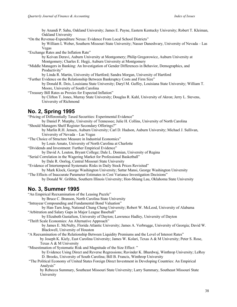by Anandi P. Sahu, Oakland University; James E. Payne, Eastern Kentucky University; Robert T. Kleiman, Oakland University

"On the Revenue-Expenditure Nexus: Evidence From Local School Districts"

by William L Weber, Southern Missouri State University; Nasser Daneshvary, University of Nevada – Las Vegas

"Exchange Rates and the Inflation Rate"

by Keivan Deravi, Auburn University at Montgomery; Philip Gregorowicz, Auburn University at Montgomery; Charles E. Hegji, Auburn University at Montgomery

"Middle Managers in Banking: An Investigation of Gender Differences in Behavior, Demographics, and Productivity"

by Linda R. Martin, University of Hartford; Sandra Morgan, University of Hartford

"Further Evidence on the Relationship Between Bankruptcy Costs and Firm Size"

by Donald R. Deis, Louisiana State University; Daryl M. Guffey, Louisiana State University; William T. Moore, University of South Carolina

"Treasury Bill Rates as Proxies for Expected Inflation"

by Clifton T. Jones, Murray State University; Douglas R. Kahl, University of Akron; Jerry L. Stevens, University of Richmond

#### **No. 2, Spring 1995**

"Pricing of Differentially Taxed Securities: Experimental Evidence" by Daniel P. Murphy, University of Tennessee; Julie H. Collins, University of North Carolina "Should Managers Shelf Register Secondary Offerings?"

by Marlin R.H. Jensen, Auburn University; Carl D. Hudson, Auburn University; Michael J. Sullivan, University of Nevada – Las Vegas

"The Choice of Structure Measure in Industrial Economics"

by Louis Amato, University of North Carolina at Charlotte

"Dividends and Investment: Further Empirical Evidence"

by David A. Louton, Bryant College; Dale L. Domian, University of Regina

"Serial Correlation in the Wagering Market for Professional Basketball"

by Dale R. Oorlog, Central Missouri State University

"Evidence of Intertemporal Systematic Risks in Daily Stock Prices Revisited"

by Mark Klock, George Washington University; Sattar Mansi, George Washington University

"The Effects of Inaccurate Parameter Estimates in Cost Variance Investigation Decisions"

by Donald W. Gribbin, Southern Illinois University; Hon-Shiang Lau, Oklahoma State University

#### **No. 3, Summer 1995**

"An Empirical Reexamination of the Leasing Puzzle" by Bruce C. Branson, North Carolina State University "Intrayear Compounding and Fundamental Bond Valuation" by Han-Tarn Jeng, National Chung Cheng University; Robert W. McLeod, University of Alabama "Arbitration and Salary Gaps in Major League Baseball" by Elizabeth Gustafson, University of Dayton; Lawrence Hadley, University of Dayton "Thrift Scale Economies: An Alternative Approach" by James E. McNulty, Florida Atlantic University; James A. Verbrugge, University of Georgia; David W. Blackwell, University of Houston "A Reexamination of the Relationship Between Liquidity Premiums and the Level of Interest Rates"

by Joseph K. Kiely, East Carolina University; James W. Kolari, Texas A & M University; Peter S. Rose, Texas A & M University

"Misestimation of Systematic Risk and Magnitude of the Size Effect: "

by Evidence Using Direct and Reverse Regressions; Ravinder K. Bhardwaj, Winthrop University; LeRoy D. Brooks, University of South Carolina; Bill B. Francis, Winthrop University

"The Political Economy of United States Foreign Direct Investment in Developing Countries: An Empirical Analysis"

by Rebecca Summary, Southeast Missouri State University; Larry Summary, Southeast Missouri State University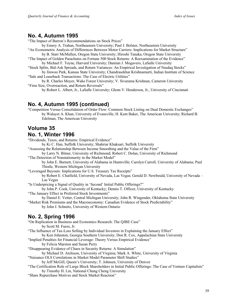#### **No. 4, Autumn 1995**

"The Impact of Barron's Recommendations on Stock Prices"

by Emery A. Trahan, Northeastern University; Paul J. Bolster, Northeastern University "An Econometric Analysis of Differences Between Motor Carriers: Implications for Market Structure"

by B. Starr McMullen, Oregon State University; Hiroshi Tanaka, Oregon State University "The Impact of Golden Parachutes on Fortune 500 Stock Returns: A Reexamination of the Evidence"

by Michael F. Toyne, Harvard University; Damian J. Mogavero, LaSalle University

"Stock Splits, Bid-Ask Spreads, and Return Variances: An Empirical Investigation of Nasdaq Stocks" by Jinwoo Park, Kansas State University; Chandrasekhar Krishnamurti, Indian Institute of Science

"Sale and Leaseback Transactions: The Case of Electric Utilities"

by R. Charles Moyer, Wake Forest University; V. Sivarama Krishnan, Cameron University "Firm Size, Overreaction, and Return Reversals"

by Robert L. Albert, Jr., LaSalle University; Glenn V. Henderson, Jr., University of Cincinnati

#### **No. 4, Autumn 1995 (continued)**

"Competition Versus Consolidation of Order Flow: Common Stock Listing on Dual Domestic Exchanges" by Walayet A. Khan, University of Evansville; H. Kent Baker, The American University; Richard B. Edelman, The American University

# **Volume 35**

## **No. 1, Winter 1996**

"Dividends, Taxes, and Returns: Empirical Evidence"

by Ki C. Han, Suffolk University; Shahriar Khaksari, Suffolk University

"Assessing the Relationship Between Income Smoothing and the Value of the Firm"

by Larry N. Bitner, University of Richmond; Robert C. Dolan, University of Richmond "The Detection of Nonstationarity in the Market Model"

by John E. Burnett, University of Alabama in Huntsville; Carolyn Carroll, University of Alabama; Paul Thistle, Western Michigan University

"Leveraged Buyouts: Implications for U.S. Treasury Tax Receipts"

by Robert E. Chatfield, University of Nevada, Las Vegas; Gerald D. Newbould, University of Nevada – Las Vegas

"Is Underpricing a Signal of Quality in 'Second' Initial Public Offerings?"

by John P. Cook, University of Kentucky; Dennis T. Officer, University of Kentucky "The January Effect in Preferred Stock Investments"

by Daniel E. Vetter, Central Michigan University; John R. Wingender, Oklahoma State University

"Market Risk Premiums and the Macroeconomy: Canadian Evidence of Stock Predictability" by John J. Schmitz, University of Western Ontario

## **No. 2, Spring 1996**

"On Replication in Business and Economics Research: The QJBE Case"

by Scott M. Fuess, Jr.

"The Influence of Tax-Loss Selling by Individual Investors in Explaining the January Effect" by Ken Johnston, Georgia Southern University; Don R. Cox, Appalachian State University

"Implied Penalties for Financial Leverage: Theory Versus Empirical Evidence"

by Felicia Marston and Susan Perry

"Disappearing Evidence of Chaos in Security Returns: A Simulation"

by Michael D. Atchison, University of Virginia; Mark A. White, University of Virginia

"Nuisance OLS Correlations in Market Model Parameter Shift Studies"

by Jeff McGill, Queen's University; T. Johnsen, University of Denver

"The Certification Role of Large Block Shareholders in Initial Public Offerings: The Case of Venture Capitalists" by Timothy H. Lin, National Chung Cheng University

"Share Repurchase Motives and Stock Market Reaction"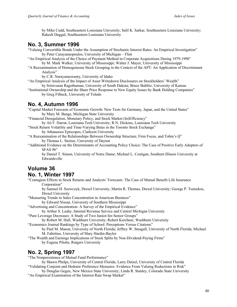by Mike Cudd, Southeastern Louisiana University; Salil K. Sarkar, Southeastern Louisiana University; Rakesh Duggal, Southeastern Louisiana University

#### **No. 3, Summer 1996**

- "Valuing Convertible Bonds Under the Assumption of Stochastic Interest Rates: An Empirical Investigation" by Peter Carayannopoulos, University of Michigan – Flint
- "An Empirical Analysis of the Choice of Payment Method in Corporate Acquisitions During 1979-1990" by M. Mark Walker, University of Mississippi; Walter J. Mayer, University of Mississippi
- "A Reexamination of Homogeneous Stock Grouping in the Context of the APT: An Application of Discriminant Analysis"

by C.R. Narayanaswamy, University of Idaho

"An Empirical Analysis of the Impact of Asset Writedown Disclosures on Stockholders' Wealth" by Srinivasan Ragothaman, University of South Dakota; Bruce Bublitz, University of Kansas

"Institutional Ownership and the Share Price Response to New Equity Issues by Bank Holding Companies" by Greg Filbeck, University of Toledo

## **No. 4, Autumn 1996**

"Capital Market Forecasts of Economic Growth: New Tests for Germany, Japan, and the United States" by Mary M. Bange, Michigan State University

"Financial Deregulation, Monetary Policy, and Stock Market (In)Efficiency"

by Ali F. Darrat, Louisiana Tech University; R.N. Dickens, Louisiana Tech University

"Stock Return Volatility and Time-Varying Betas in the Toronto Stock Exchange" by Athanasios Episcopos, Clarkson University

"A Reexamination of the Relationships Between Ownership Structure, Firm Focus, and Tobin's Q" by Thomas L. Steiner, University of Dayton

"Additional Evidence on the Determinants of Accounting Policy Choice: The Case of Positive Early Adopters of SFAS 96"

by Daniel T. Simon, University of Notre Dame; Michael L. Costigan, Southern Illinois University at Edwardsville

## **Volume 36 No. 1, Winter 1997**

"Contagion Effects in Stock Returns and Analysts' Forecasts: The Case of Mutual Benefit Life Insurance Corporation"

by Samuel H. Szewczyk, Drexel University; Martin R. Thomas, Drexel University; George P. Tsetsekos, Drexel University

"Measuring Trends in Sales Concentration in American Business"

by Edward Nissan, University of Southern Mississippi

"Advertising and Concentration: A Survey of the Empirical Evidence"

by Arthur S. Leahy, Internal Revenue Service and Central Michigan University

"Pure Leverage Decreases: A Study of Two Junior-for-Senior Groups"

by Robert M. Hull, Washburn University; Robert Kerchner, Washburn University

"Economics Journal Rankings by Type of School: Perceptions Versus Citations"

by Paul M. Mason, University of North Florida; Jeffrey W. Steagall, University of North Florida; Michael

M. Fabritius, University of Mary Hardin-Baylor

"The Wealth and Earnings Implications of Stock Splits by Non-Dividend-Paying Firms"

by Eugene Pilotte, Rutgers University

## **No. 2, Spring 1997**

"The Nonpersistence of Mutual Fund Performance"

by Shawn Phelps, University of Central Florida; Larry Detzel, University of Central Florida "Validating Conjoint and Hedonic Preference Measures: Evidence From Valuing Reductions in Risk"

by Douglas Gegax, New Mexico State University; Linda R. Stanley, Colorado State University "An Empirical Examination of the Interest Rate Swap Market"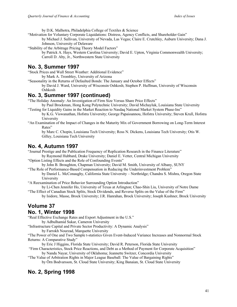by D.K. Malhotra, Philadelphia College of Textiles & Science

"Motivation for Voluntary Corporate Liquidations: Distress, Agency Conflicts, and Shareholder Gain" by Michael J. Sullivan, University of Nevada, Las Vegas; Claire E. Crutchley, Auburn University; Dana J.

Johnson, University of Delaware

"Stability of the Arbitrage Pricing Theory Model Factors"

by Patrick A. Hays, Western Carolina University; David E. Upton, Virginia Commonwealth University; Carroll D. Aby, Jr., Northwestern State University

#### **No. 3, Summer 1997**

"Stock Prices and Wall Street Weather: Additional Evidence"

by Mark A. Trombley, University of Arizona

"Seasonality in the Returns of Defaulted Bonds: The January and October Effects"

by David J. Ward, University of Wisconsin Oshkosh; Stephen P. Huffman, University of Wisconsin Oshkosh

## **No. 3, Summer 1997 (continued)**

"The Holiday Anomaly: An Investigation of Firm Size Versus Share Price Effects"

by Paul Brockman, Hong Kong Polytechnic University; David Michayluk, Louisiana State University "Testing for Liquidity Gains in the Market Reaction to Nasdaq National Market System Phase-Ins"

by K.G. Viswanathan, Hofstra University; George Papaioannou, Hofstra University; Steven Krull, Hofstra University

"An Examination of the Impact of Changes in the Maturity Mix of Government Borrowing on Long-Term Interest Rates"

by Marc C. Chopin, Louisiana Tech University; Ross N. Dickens, Louisiana Tech University; Otis W. Gilley, Louisiana Tech University

## **No. 4, Autumn 1997**

"Journal Prestige and the Publication Frequency of Replication Research in the Finance Literature"

by Raymond Hubbard, Drake University; Daniel E. Vetter, Central Michigan University "Option Listing Effects and the Role of Confounding Events"

by John B. Broughton, Chapman University; David M. Smith, University of Albany, SUNY "The Role of Performance-Based Compensation in Reducing the Underinvestment Problem"

by Daniel L. McConaughy, California State University – Northridge; Chandra S. Mishra, Oregon State University

"A Reexamination of Price Behavior Surrounding Option Introduction"

by Li-Chen Jennifer Ho, University of Texas at Arlington; Chao-Shin Liu, University of Notre Dame "The Effect of Canadian Stock Splits, Stock Dividends, and Reverse Splits on the Value of the Firm"

by Isidore, Masse, Brock University; J.R. Hanrahan, Brock University; Joseph Kushner, Brock University

# **Volume 37**

#### **No. 1, Winter 1998**

"Real Effective Exchange Rates and Export Adjustment in the U.S." by Adbulhamid Sukar, Cameron University

"Infrastructure Capital and Private Sector Productivity: A Dynamic Analysis"

by Farrokh Nourzad, Marquette University

"The Power of One and Two Sample t-statistics Given Event-Induced Variance Increases and Nonnormal Stock Returns: A Comparative Study"

by Eric J Higgins, Florida State University; David R. Peterson, Florida State University

"Firm Characteristics, Stock Price Reactions, and Debt as a Method of Payment for Corporate Acquisition" by Nandu Nayar, University of Oklahoma; Jeannette Switzer, Concordia University

"The Value of Arbitration Rights in Major League Baseball: The Value of Bargaining Rights"

by Örn Bodvarsson, St. Cloud State University; King Banaian, St. Cloud State University

## **No. 2, Spring 1998**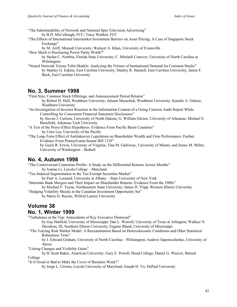"The Substitutability of Network and National Spot Television Advertising"

by B.D. McCullough, FCC; Tracy Waldon, FCC

"The Effects of International Intermarket Investment Barriers on Asset Pricing: A Case of Singapore Stock Exchange"

by M. Ariff, Monash University; Walayet A. Khan, University of Evansville

"How Much is Purchasing Power Parity Worth?"

by Stefan C. Norrbin, Florida State University; C. Mitchell Conover, University of North Carolina at Wilmington

"Neural Network Versus Tobit Models: Analyzing the NAture of Institutional Demand for Common Stocks" by Stanley G. Eakins, East Carolina University; Stanley R. Stansell, East Carolina University; James F. Buck, East Carolina University

#### **No. 3, Summer 1998**

"Firm Size, Common Stock Offerings, and Announcement Period Returns"

by Robert H. Hull, Washburn University; Juliann Mazachek, Washburn University; Kanalis A. Ockree, Washburn University

"An Investigation of Investor Reaction to the Information Content of a Going Concern Audit Report While Controlling for Concurrent Financial Statement Disclosures"

by Steven J. Carlson, University of North Dakota; G. William Glezen, University of Arkansas; Michael E. Benefield, Arkansas Tech University

"A Test of the Proxy-Effect Hypothesis: Evidence From Pacific Basin Countries" by Unro Lee, University of the Pacific

"The Long-Term Effect of Antitakeover Legislation on Shareholder Wealth and Firm Performance: Further Evidence From Pennsylvania Senate Bill 1310"

by Gayle R. Erwin, University of Virginia; Tina M. Galloway, University of Miami; and James M. Miller, University of Washington – Bothell

## **No. 4, Autumn 1998**

"The Controversial Contrarian Profits: A Study on the Differential Returns Across Months" by Joanne Li, Loyola College – Maryland

"Tax-Induced Segmentation in the Tax-Exempt Securities Market"

by Paul A. Leonard, University at Albany – State University of New York

"Interstate Bank Mergers and Their Impact on Shareholder Returns: Evidence From the 1900s"

by Michael F. Toyne, Northeastern State University; James D. Tripp, Western Illinois University

"Hedging Volatility Shocks to the Canadian Investment Opportunity Set" by Marie D. Racine, Wilfrid Laurier University

## **Volume 38**

#### **No. 1, Winter 1999**

"Turbulence at the Top: Antecedents of Key Executive Dismissal"

by Gay Hatfield, University of Mississippi; Dan L. Worrell, University of Texas at Arlington; Wallace N. Davidson, III, Southern Illinois University; Eugene Bland, University of Mississippi

"The Varying Risk Market Model: A Reexamination Based on Heteroskecastic Conditions and Other Statistical Robustness Tests"

by J. Edward Graham, University of North Carolina—Wilmington; Andrew Saporoschenko, University of Akron

"Listing Changes and Visibility Gains"

by H. Kent Baker, American University; Gary E. Powell, Hood College; Daniel G. Weaver, Baruch

College

"Is It Good or Bad to Make the Cover of Business Week?"

by Jorge L. Urrutia, Loyola University of Maryland; Joseph D. Vu, DePaul University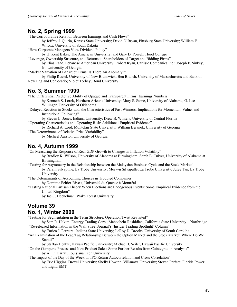#### **No. 2, Spring 1999**

"The Corroborative Relation Between Earnings and Cash Flows"

by Jeffrey J. Quirin, Kansas State University; David O'Bryan, Pittsburg State University; William E. Wilcox, University of South Dakota

"How Corporate Managers View Dividend Policy"

by H. Kent Baker, The American University; and Gary D. Powell, Hood College

"Leverage, Ownership Structure, and Returns to Shareholders of Target and Bidding Firms"

by Elias Raad, Lebanese American University; Robert Ryan, Carlisle Companies Inc.; Joseph F. Sinkey, Jr., University of Georgia

"Market Valuation of Bankrupt Firms: Is There An Anomaly?"

by Philip Russel, University of New Brunswick; Ben Branch, University of Massachusetts and Bank of New England Corporatio; Violet Torbey, Bond University

#### **No. 3, Summer 1999**

"The Differential Predictive Ability of Opaque and Transparent Firms' Earnings Numbers"

by Kenneth S. Lorek, Northern Arizona University; Mary S. Stone, University of Alabama; G. Lee Willinger, University of Oklahoma

"Delayed Reaction in Stocks with the Characteristics of Past Winners: Implications for Momentun, Value, and Institutional Following"

by Steven L. Jones, Indiana University; Drew B. Winters, University of Central Florida "Operating Characteristics and Operating Risk: Additional Empirical Evidence"

by Richard A. Lord, Montclair State University; William Beranek, University of Georgia "The Determinants of Relative Price Variability"

by Michael Aarstol, University of Georgia

#### **No. 4, Autumn 1999**

"On Measuring the Response of Real GDP Growth to Changes in Inflation Volatility"

by Bradley K. Wilson, University of Alabama at Birmingham; Sarah E. Culver, University of Alabama at Birmingham

"Testing for Asymmetry in the Relationship between the Malaysian Business Cycle and the Stock Market" by Param Silvapulle, La Trobe University; Mervyn Silvapulle, La Trobe University; Julee Tan, La Trobe University

"The Determinants of Accounting Choices in Troubled Companies"

by Dominic Peltier-Rivest, Université du Quebec à Montréal

"Testing Rational Partisan Theory When Elections are Endogenous Events: Some Empirical Evidence from the United Kingdom"

by Jac C. Heckelman, Wake Forest University

## **Volume 39**

#### **No. 1, Winter 2000**

"Testing for Segmentation in the Term Structure: Operation Twist Revisited"

by Sam R. Hakim, Entergy Trading Corp.; Mahochehr Rashidian, California State University – Northridge "Re-released Information in the Wall Street Journal's 'Insider Trading Spotlight' Column"

by Eurico J. Ferreira, Indiana State University; LeRoy D. Brooks, University of South Carolina

"An Examination of the Lead/Lag Relationship Between the Option Market and the Stock Market: Where Do We Stand?"

by Staffan Hentze, Hawaii Pacific University; Michael J. Seiler, Hawaii Pacific University

"On the Gompertz Process and New Product Sales: Some Further Results from Cointegration Analysis" by Ali F. Darrat, Louisiana Tech University

#### "The Impact of the Day of the Week on IPO Return Autocorrelation and Cross-Correlation" by Eric Higgins, Drexel University; Shelly Howton, Villanova University; Steven Perfect, Florida Power and Light, EMT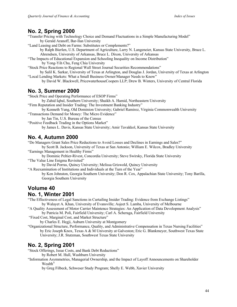## **No. 2, Spring 2000**

- "Transfer Pricing with Technology Choice and Demand Fluctuations in a Simple Manufacturing Model" by Gerald Aranoff, Bar-Ilan University
- "Land Leasing and Debt on Farms: Substitutes or Complements?"

by Ralph Bierlen, U.S. Department of Agriculture, Larry N. Langeneier, Kansas State University, Bruce L. Ahrendsen, University of Arkansas, Bruce L. Dixon, University of Arkansas

"The Impacts of Educational Expansion and Schooling Inequality on Income Distribution" by Yong-Yih Chu, Feng Chia University

"Stock Price Reactions to Regional Wall Street Journal Securities Recommendations"

by Salil K. Sarkar, University of Texas at Arlington, and Douglas J. Jordan, University of Texas at Arlington "Local Lending Markets: What a Small Business Owner/Manager Needs to Know"

by David W. Blackwell, PricewaterhouseCoopers LLP; Drew B. Winters, University of Central Florida

#### **No. 3, Summer 2000**

"Stock Price and Operating Performance of ESOP Firms"

by Zahid Iqbal, Southern University; Shaikh A. Hamid, Northeastern University

"Firm Reputation and Insider Trading: The Investment Banking Industry"

by Kenneth Yung, Old Dominion University; Gabriel Ramirez, Virginia Commonwealth University

"Transactions Demand for Money: The Micro Evidence"

by Jan Tin, U.S. Bureau of the Census "Positive Feedback Trading in the Options Market"

by James L. Davis, Kansas State University; Amir Tavakkol, Kansas State University

## **No. 4, Autumn 2000**

"Do Managers Grant Sales Price Reductions to Avoid Losses and Declines in Earnings and Sales?"

by Scott B. Jackson, University of Texas at San Antonio; William E. Wilcox, Bradley University "Earnings Management in Healthy Firms"

by Dominic Peltier-Rivest, Concordia University; Steve Swirsky, Florida State University "The Value Line Enigma Revisited"

by David Porras, Quincy University; Melissa Griswold, Quincy University

"A Reexamination of Institutions and Individuals at the Turn of the Year"

by Ken Johnston, Georgia Southern University; Don R. Cox, Appalachian State University; Tony Barilla, Georgia Southern University

## **Volume 40**

## **No. 1, Winter 2001**

"The Effectiveness of Legal Sanctions in Curtailing Insider Trading: Evidence from Exchange Listings" by Walayet A. Khan, University of Evansville; Asjeet S. Lamba, University of Melbourne

"A Quality Assessment of Motor Carrier Maintence Strategies: An Application of Data Development Analysis" by Patricia M. Poli, Fairfield University; Carl A. Scheraga, Fairfield University

"Fixed Cost, Marginal Cost, and Market Structure"

by Charles E. Hegji, Auburn University at Montgomery

"Organizational Structure, Performance, Quality, and Administrative Compensation in Texas Nursing Facilities" by Eric Joseph Knox, Texas A & M University at Galveston; Eric G. Blankmeyer, Southwest Texas State University; J.R. Stutzman, Southwest Texas State University

## **No. 2, Spring 2001**

"Stock Offerings, Issue Costs, and Bank Debt Reductions"

by Robert M. Hull, Washburn University

"Information Asymmetries, Managerial Ownership, and the Impact of Layoff Announcements on Shareholder Wealth"

by Greg Filbeck, Schweser Study Program; Shelly E. Webb, Xavier University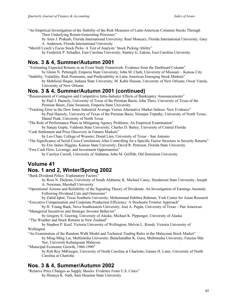- "An Empirical Investigation of the Stability of the Risk Measures of Latin-American Common Stocks Through Their Underlying Return-Generating Processes"
	- by Arun J. Prakash, Florida International University; Raul Moncarz, Florida International University; Gary A. Anderson, Florida International University
- "Merrill Lynch's Focus Stock Picks: A Test of Analysts' Stock Picking Ability" by Frederick P. Schadler, East Carolina University; Stanley G. Eakins, East Carolina University

## **Nos. 3 & 4, Summer/Autumn 2001**

- "Estimating Expected Returns in an Event Study Framework: Evidence from the Dartboard Column" by Glenn N. Pettengill, Emporia State University; John M. Clark, University of Missouri – Kansas City
- "Stability, Volatility, Risk Premiums, and Predictability in Latin American Emerging Stock Markets" by Mahfuzul Haque, Indiana State University; M. Kabir Hassan, University of New Orleans; Oscar Varela, University of New Orleans

## **Nos. 3 & 4, Summer/Autumn 2001 (continued)**

- "Reassessment of Contagion and Competitive Intra-Industyr Effects of Bankruptcy Announcements" by Paul J. Haensly, University of Texas of the Permian Basin; John Theis, University of Texas of the Permian Basin; Zane Swanson, Emporia State University
- "Tracking Error in the Dow Jones Industrial Average Versus Alternative Market Indices: New Evidence" by Paul Haensly, University of Texas of the Permian Basis; Niranjan Tripathy, University of North Texas; Daniel Peak, University of North Texas
- "The Role of Performance Plans in Mitigating Agency Problems: An Empirical Examination" by Sanjay Gupta, Valdosta State University; Charles D. Bailey, University of Central Florida "Cash Settlement and Price Discovery in Futures Markets"
- 
- by Leo Chan, College of Wooster; Donal Lien, University of Texas San Antonio "The Significance of Serial Cross-Correlations After Controlling for a Specific Factor Structure in Security Returns" by Eric James Higgins, Kansas State University; David R. Peterson, Florida State University
- "Free Cash Flow, Leverage, and Investment Opportunities"

by Carolyn Carroll, University of Alabama; John M. Griffith, Old Dominion University

## **Volume 41**

## **Nos. 1 and 2, Winter/Spring 2002**

"Bank Dividend Policy: Explanatory Factors"

by Ross N. Dickens, University of South Alabama; K. Michael Casey, Henderson State University; Joseph A. Newman, Marshall University

- "Operational Actions and Reliability of the Signaling Theory of Dividends: An Investigation of Earnings Anomaly Following Dividend Cuts and Omissions"
- by Zahid Iqbal, Texas Southern University; Mohammad Habibur Rahman, York Center for Asian Research "Executive Compensation and Corporate Production Efficiency: A Stochastic Frontier Approach"
- by H. Young Baek, Nova Southeastern University; José A. Pagán, University of Texas Pan American "Managerial Incentives and Strategic Investor Behavior"
- by Gregory E. Goering, University of Alaska; Michael K. Pippenger, University of Alaska "The Weather and Stock Returns in New Zealand"
- by Stephen P. Keef, Victoria University of Wellington; Melvin L. Roush, Victoria University of Wellington
- "An Examination of the Random Walk Model and Technical Trading Rules in the Malaysian Stock Market" by Ming-Ming Lai, Multimedia University; Balachandher K. Guru, Multimedia University; Fauzias Mat Nor, Universiti Kebangsaan Malaysia
- "Municipal Economic Growth, 1960-1990"
	- by Rob Roy MdGregor, University of North Carolina at Charlotte; Gaines H. Liner, University of North Carolina at Charlotte

## **Nos. 3 & 4, Summer/Autumn 2002**

"Relative Price Changes as Supply Shocks: Evidence From U.S. Cities" by Hiranya K. Nath, Sam Houston State University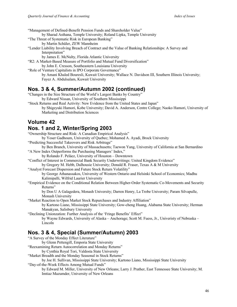"Management of Defined-Benefit Pension Funds and Shareholder Value"

by Sharad Asthana, Temple University; Roland Lipka, Temple University

- "The Threat of Systematic Risk in European Banking"
	- by Martin Schüler, ZEW Mannheim

"Lender Liability Involving Breach of Contract and the Value of Banking Relationships: A Survey and Interpretation"

by James E. McNulty, Florida Atlantic University

"R2: A Market-Based Measure of Portfolio and Mutual Fund Diversification"

by John E. Cresson, Southeastern Louisiana University

"Role of Venture Capitalists in IPO Corporate Governance" by Amani Khaled Bouresli, Kuwait University; Wallace N. Davidson III, Southern Illinois University; Fayez A. Abdulsalam, Kuwait University

## **Nos. 3 & 4, Summer/Autumn 2002 (continued)**

"Changes in the Size Structure of the World's Largest Banks by Country" by Edward Nissan, University of Southern Mississippi

"Stock Returns and Real Activity: New Evidence from the United States and Japan"

by Shigeyuki Hamori, Kobe University; David A. Anderson, Centre College; Naoko Hamori, University of Marketing and Distribution Sciences

## **Volume 42**

## **Nos. 1 and 2, Winter/Spring 2003**

"Ownership Structure and Risk: A Canadian Empirical Analysis"

by Yoser Gadhoum, University of Quebec; Mohamed A. Ayadi, Brock University

"Predicting Successful Takeovers and Risk Arbitrage"

by Ben Branch, University of Massachusetts; Taewon Yang, University of California at San Bernardino "A New Index Outperforms the Purchasing Managers' Index,"

by Rolando F. Peláez, University of Houston – Downtown

"Conflict of Interest in Commercial Bank Security Underwritings: United Kingdom Evidence" by Gregory M. Hebb, Dalhousie University; Donald R. Fraser, Texas A & M University

"Analyst Forecast Dispersion and Future Stock Return Volatility"

by George Athanassakos, University of Western Ontario and Helsinki School of Economics; Madhu Kalimipalli, Wilfrid Laurier University

"Empirical Evidence on the Conditional Relation Between Higher-Order Systematic Co-Movements and Security Returns"

by Don U A Galagedera, Monash University; Darren Henry, La Trobe University; Param Silvapulle, Monash University

"Market Reaction to Open Market Stock Repurchases and Industry Affiliation" by Kartono Liano, Mississippi State University; Gow-cheng Huang, Alabama State University; Herman

Manakyan, Salisbury University

"Declining Unionzation: Further Analysis of the 'Fringe Benefits' Effect"

by Wayne Edwards, University of Alaska – Anchorage; Scott M. Fuess, Jr., Univeristy of Nebraska – Lincoln

## **Nos. 3 & 4, Special (Summer/Autumn) 2003**

"A Survey of the Monday Effect Literature" by Glenn Pettengill, Emporia State University "Reexamining Return Autocorrelation and Monday Returns" by Cynthia Royal Tori, Valdosta State University "Market Breadth and the Monday Seasonal in Stock Returns" by Joe H. Sullivan, Mississippi State University; Kartono Liano, Mississippi State University "Day-of-the-Week Effects Among Mutual Funds"

by Edward M. Miller, University of New Orleans; Larry J. Prather, East Tennessee State University; M. Imtiaz Mazumder, University of New Orleans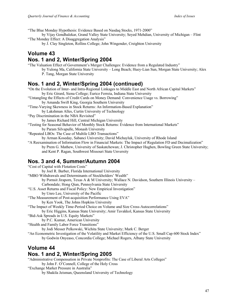"The Blue Monday Hypothesis: Evidence Based on Nasdaq Stocks, 1971-2000"

by Vijay Gondhalekar, Grand Valley State University; Seyed Mehdian, University of Michigan – Flint "The Monday Effect: A Disaggregation Analysis"

by J. Clay Singleton, Rollins College; John Wingender, Creighton University

## **Volume 43**

#### **Nos. 1 and 2, Winter/Spring 2004**

"The Valuation Effect of Government's Merger Challenges: Evidence from a Regulated Industry"

by Yulong Ma, California State University – Long Beach; Huey-Lian Sun, Morgan State University; Alex P. Tang, Morgan State University

## **Nos. 1 and 2, Winter/Spring 2004 (continued)**

"On the Evolution of Inter- and Intra-Regional Linkages to Middle East and North African Capital Markets" by Eric Girard, Siena College; Eurico Ferreia, Indiana State University

"Untangling the Effects of Credit Cards on Money Demand: Convenience Usage vs. Borrowing"

- by Amanda Swift King, Georgia Southern University
- "Time-Varying Skewness in Stock Returns: An Information-Based Explanation"

by Lakshman Alles, Curtin University of Technology

- "Pay Discrimination in the NBA Revisited"
- by James Richard Hill, Central Michigan University
- "Testing for Seasonal Behavior of Monthly Stock Returns: Evidence from International Markets" by Param Silvapulle, Monash University

"Repeated LBOs: The Case of Multile LBO Transactions"

by Arman Koseday, Sabanci University; David Michayluk, University of Rhode Island

"A Reexamination of Information Flow in Financial Markets: The Impact of Regulation FD and Decimalization" by Prem G. Mathew, University of Saskatchewan; J. Christopher Hughen, Bowling Green State University; and Kent P. Ragan, Southwest Missouri State Unversity

#### **Nos. 3 and 4, Summer/Autumn 2004**

| "Cost of Capital with Flotation Costs"                                                                       |
|--------------------------------------------------------------------------------------------------------------|
| by Joel R. Barber, Florida International University                                                          |
| "MBO Withdrawals and Determinants of Stockholders' Wealth"                                                   |
| by Pornsit Jiraporn, Texas A & M University; Wallace N. Davidson, Southern Illinois University -             |
| Carbondale; Hong Qian, Pennsylvania State University                                                         |
| "U.S. Asset Returns and Fiscal Policy: New Empirical Investigation"                                          |
| by Unro Lee, University of the Pacific                                                                       |
| "The Measurement of Post-acquisition Performance Using EVA"                                                  |
| by Ken Yook, The Johns Hopkins University                                                                    |
| "The Impact of Weekly Time-Period Choice on Volume and Size Cross-Autocorrelations"                          |
| by Eric Higgins, Kansas State University; Amir Tavakkol, Kansas State University                             |
| "Bid-Ask Spreads in U.S. Equity Markets"                                                                     |
| by P.C. Kumar, American University                                                                           |
| "Health and Family Labor Force Transitions"                                                                  |
| by Jodi Messer Pelkowski, Wichita State University; Mark C. Berger                                           |
| "An Econometric Investigation of the Volatility and Market Efficiency of the U.S. Small Cap 600 Stock Index" |
| by Godwin Onyeaso, Concordia College; Michael Rogers, Albany State University                                |
|                                                                                                              |

## **Volume 44 Nos. 1 and 2, Winter/Spring 2005**

"Administrative Compensation in Private Nonprofits: The Case of Liberal Arts Colleges"

by John F. O'Connell, College of the Holy Cross

"Exchange Market Pressure in Australia"

by Shakila Jeisman, Queensland University of Technology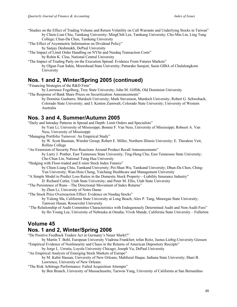"Studies on the Effect of Trading Volume and Return Volatility on Call Warrants and Underlying Stocks in Taiwan" by Chien-Lian Chiu, Tamkang University; MingChih Lee, Tamkang University; Cho-Min Lin, Ling Tung College; Chun-Da Chen, Tamkang University

"The Effect of Asymmetric Information on Dividend Policy"

by Sanjay Deshmukh, DePaul University

"The Impact of Limit Order Handling on NYSe and Nasdaq Transaction Costs"

by Robin K. Clou, National Central University

"The Impact of Trading Party on the Execution Spread: Evidence From Futures Markets" by Olgun Fuat Sahin, Moorehead State University; Pattarake Sarajoti, Sasin GIBA of Chulalongkorn University

## **Nos. 1 and 2, Winter/Spring 2005 (continued)**

"Financing Strategies of the R&D Firm"

by Lawrence Fogelberg, Troy State University; John M. Giffith, Old Dominion University "The Response of Bank Share Prices on Securitization Announcements"

by Dominic Gasbarro, Murdoch University; Mark Stevenson, Murdoch University; Robert G. Schwebach, Colorado State University; and J. Kenton Zumwalt, Colorado State University; University of Western Australia

## **Nos. 3 and 4, Summer/Autumn 2005**

"Daily and Intraday Patterns in Spread and Depth: Limit Orders and Specialists"

by Yani Li, University of Mississippi; Bonnie F. Van Ness, University of Mississippi; Robeert A. Van Ness, University of Mississippi

"Managing Portfolio Turnover: An Empirical Study"

by W. Scott Bauman, Winshir Group; Robert E. Miller, Northern Illinois University; E. Theodore Veit, Rollins College

"An Extension of Security Price Reactions Around Product Recall Announcements"

by Larry J. Prather, East Tennessee State University; Ting-Heng Chu; East Tennessee State University; Che-Chun Lin, National Tsing Hua University

"Hedging with Floor-traded and E-mini Stock Index Futures"

by Chien-Liang Chiu, Tamkand University; Pei-Shan Wu, Tamkand University; Dhun-Da Chen, Ching-Yun University; Wan-Hsiu Cheng, Yaichung Healthcare and Management University

"A Simple Model to Predict Loss Ratios in the Domestic Stock Property—Liability Insurance Industry"

D. Richard Cutler, Utah State University; and Peter M. Ellis, Utah State University

"The Persistence of Runs—The Directional Movement of Index Returns"

by Zhen Li, University of Notre Dame

"The Stock Price Overreaction Effect: Evidence on Nasdaq Stocks"

by Yulong Ma, California State University at Long Beach; Alex P. Tang, Mmorgan State University; Tanweer Hasan, Roosevelet University

"The Relationship of Audit Committee Characteristics with Endogenously Determined Audit and Non-Audit Fees" by Ho Young Lee, University of Nebraska at Omaha; Vivek Mande, California State University – Fullerton

## **Volume 45**

## **Nos. 1 and 2, Winter/Spring 2006**

"Do Positive Feedback Traders Act in Germany's Neuer Markt?"

by Martin T. Bohl, European University Viadrina Frankfurt; tefan Reitz, Justus-Liebig-University Giessen "Empirical Evidence of Nonlinearity and Chaos in the Returns of American Depository Receipts"

by Jorge L. Urrutia, Loyola University Chicago; Joseph Vu, DePaul University

"An Empirical Analysis of Emerging Stock Markets of Europe"

by M. Kabir Hassan, University of New Orleans; Mahfuzul Haque, Indiana State University; Shari B. Lawrence, University of New Orleans

"The Risk Arbitrage Performance: Failed Acquisition Attempts"

by Ben Branch, University of Massachusetts; Taewon Yang, University of California at San Bernardino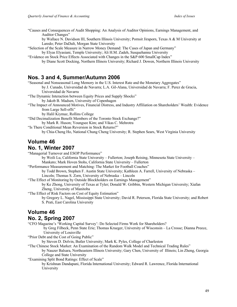"Causes and Consequences of Audit Shopping: An Analysis of Auditor Opinions, Earnings Management, and Auditor Changes"

by Wallace N. Davidson III, Southern Illinois University; Pornsit Jiraporn, Texas A & M University at Laredo; Peter DaDalt, Morgan State University

"Selection of the Scale Measure in Narrow Money Demand: The Cases of Japan and Germany"

by Elyas Elyasiani, Temple University; Ali H.M. Zadeh, Susquehanna University

"Evidence on Stock Price Effects Associated with Changes in the S&P 600 SmallCap Index"

by Diane Scott Docking, Northern Illinois University; Richard J. Dowen, Northern Illinois University

#### **Nos. 3 and 4, Summer/Autumn 2006**

"Seasonal and Nonseasonal Long Memory in the U.S. Interest Rate and the Monetary Aggregates"

by J. Cunado, Universidad de Navarra; L.A. Gil-Alana, Universidad de Navarra; F. Perez de Gracia, Universidad de Navarra

"The Dynamic Interaction between Equity Prices and Supply Shocks"

by Jakob B. Madsen, University of Copenhagen

"The Impact of Announced Motives, Financial Distress, and Industry Affiliation on Shareholders' Wealth: Evidence from Large Sell-offs"

by Halil Kiymaz, Rollins College

"Did Decimalization Benefit Members of the Toronto Stock Exchange?"

by Mark R. Huson; Youngsee Kim; and Vikas C. Mehrotra

"Is There Conditional Mean Reversion in Stock Returns?" by Chia-Cheng Ho, National Chung Cheng University; R. Stephen Sears, West Virginia University

# **Volume 46**

#### **No. 1, Winter 2007**

"Managerial Turnover and ESOP Performance"

by Weili Lu, California State University – Fullerton; Joseph Reising, Minnesota State University – Mankato; Mark Hoven Stohs, California State University – Fullerton

"Performance Measurement and Matching: The Market for Football Coaches"

by Todd Brown, Stephen F. Austin State University; Kathleen A. Farrell, University of Nebraska – Lincoln; Thomas S. Zorn, University of Nebraska – Lincoln

"The Effect of Monitoring by Outside Blockholders on Earnings Management"

by Ke Zhong, University of Texas at Tyler; Donald W. Gribbin, Western Michigan University; Xiafan Zheng, University of Manitoba

"The Effect of Risk Factors on Cost of Equity Estimation"

by Gregory L. Nagel, Mississippi State University; David R. Peterson, Florida State University; and Robert S. Prati, East Carolina University

## **Volume 46 No. 2, Spring 2007**

"CFO Magazine's 'Working Capital Survey': Do Selected Firms Work for Shareholders?

by Greg Filbeck, Penn State Erie; Thomas Krueger, University of Wisconsin – La Crosse; Dianna Preece, University of Louisville

"Prior Debt and the Cost of Going Public"

by Steven D. Dolvin, Butler University; Mark K. Pyles, College of Charleston

"The Chinese Stock Market: An Examination of the Random Walk Model and Technical Trading Rules" by Nauzer Balsara, Northeastern Illinois University; Gary Chen, University of Illinois; Lin Zheng, Georgia College and State University

"Examining Split Bond Ratings: Effect of Scale"

by Krishnan Dandapani, Florida International University; Edward R. Lawrence, Florida International University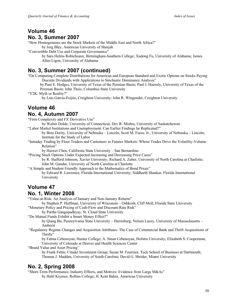#### **Volume 46 No. 3, Summer 2007**

"How Homogeneous are the Stock Markets of the Middle East and North Africa?"

by Jorg Bley, American University of Sharjah

"Convertible Debt Use and Corporate Governantce"

by Sara Helms Robicheaux, Birmingham-Southern College; Xudong Fu, University of Alabama; James Allen Ligon, University of Alabama

## **No. 3, Summer 2007 (continued)**

"On Computing Complete Distributions for American and European Standard and Exotic Options on Stocks Paying Discrete Dividends with Applications to Stochastic Dominance Analysis"

by Paul E. Hodges, University of Texas of the Permian Basin; Paul J. Haensly, University of Texas of the Permian Basin; John Theis, Columbus State University

"Y2K: Myth or Reality?"

by Luis Garcia-Feijóo, Creighton University; John R. Wingender, Creighton University

# **Volume 46**

#### **No. 4, Autumn 2007**

"Firm Complexity and FX Derivative Use"

by Walter Dolde, University of Connecticut; Dev R. Mishra, University of Saskatchewan

"Labor Market Institutions and Unemployment: Can Earlier Findings be Replicated?"

by Bree Dority, University of Nebraska – Lincoln; Scott M. Fuess, Jr., University of Nebraska – Lincoln; Institute for the Study of Labor

"Intraday Trading by Floor Traders and Customers in Futures Markets: Whose Trades Drive the Volatility-Volume Relation"

by Haiwei Chen, California State University – San Bernardino

"Pricing Stock Options Under Expected Increasing and Decreasing Price Cases"

by R. Stafford Johnson, Xavier University; Richard A. Zuber, University of North Carolina at Charlotte; John M. Gandar, University of North Carolina at Charlotte

"A Simple and Student Friendly Approach to the Mathematics of Bond Prices" by Edward R. Lawrence, Florida International University; Siddharth Shankar, Florida International University

# **Volume 47**

## **No. 1, Winter 2008**

"Value-at-Risk: An Analysis of January and Non-January Returns"

by Stephen P. Huffman, University of Wisconsin – Oshkosh; Cliff Moll, Florida State University

"Monetary Policy and Pricing of Cash-Flow and Discount-Rate Risk"

by Partha Gangopadhyay, St. Cloud State University

"Do Mutual Funds Exhibit a Smart Money Effect?"

by Qiang Bu, Pennsylvania State University – Harrisburg; Nelson Lacey, University of Massachusetts – Amherst

"Regulatory Regime Changes and Acquisition Attributes: The Case of Commercial Bank and Thrift Acquisitions of Thrifts"

by Fatma Cebenoyan, Hunter College; A. Sinan Cebenoyan, Hofstra University; Elizabeth S. Cooperman, University of Colorado at Denver and Health Sciences Center

"Brand Value and Asset Pricing"

by Frank Fehle, Citadel Investment Group; Susan M. Fournier, Tuck School of Business at Dartmouth; Thomas J. Madden, University of South Carolina; David G. Shrider, Miami University

## **No. 2, Spring 2008**

"Short-Term Performance, Industry Effects, and Motives: Evidence from Large M&As" by Halil Kiymaz, Rollins College; H. Kent Baker, American University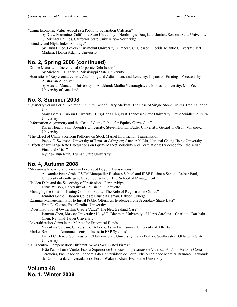"Using Economic Value Added as a Portfolio Separation Criterion"

by Drew Fountaine, California State University – Northridge; Douglas J. Jordan, Sonoma State University; G. Michael Phillips, California State University – Northridge

"Intraday and Night Index Arbitrage"

by Chun I. Lee, Loyola Marymount University; Kimberly C. Gleason, Florida Atlantic University; Jeff Madura, Florida Atlantic University

## **No. 2, Spring 2008 (continued)**

"On the Maturity of Incremental Corporate Debt Issues"

by Michael J. Highfield, Mississippi State University

"Heuristics of Representativeness, Anchoring and Adjustment, and Leniency: Impact on Earnings' Forecasts by Australian Analysts"

by Alastair Marsden, University of Auckland; Madhu Veeraraghavan, Monash University; Min Ye, University of Auckland

#### **No. 3, Summer 2008**

"Quarterly versus Serial Expiration in Pure Cost of Carry Markets: The Case of Single Stock Futures Trading in the  $U.S.$ "

Mark Bertus, Auburn University; Ting-Heng Chu, East Tennessee State University; Steve Swidler, Auburn University

"Information Asymmetry and the Cost of Going Public for Equitry Carve-Outs"

Karen Hogan, Saint Joseph's University; Steven Dolvin, Butler University; Gerard T. Olson, Villanova University

"The Effect of China's Reform Pollicies on Stock Market Information Transmission"

Peggy E. Swanson, University of Texas at Arlington; Anchor Y. Lin, National Chung Hsing University "Effects of Exchange Rate Fluctuations on Equity Market Volatility and Correlations: Evidence from the Asian

Financial Crisis"

Kyung-Chun Mun, Truman State University

#### **No. 4, Autumn 2008**

"Measuring Idiosyncratic Risks in Leveraged Buyout Transactions"

Alexander Peter Groh, GSCM Montpellier Business School and IESE Business School; Rainer Baul, University of Göttingen; Oliver Gottschalg, HEC School of Management

"Hidden Debt and the Selectivity of Professional Partnerships"

Linus Wilson, University of Louisiana – Lafayette

"Managing the Costs of Issuing Common Equity: The Role of Regristration Choice"

Jennifer Gethel, Babson College; Laurie Krigman, Babson College

- "Earnings Management Pior to Initial Public Offerings: Evidence from Secondary Share Data" Brett D. Cotton, East Carolina University
- "Does Institutional Ownership Create Value? The New Zealand Case"

Jianguo Chen, Massey University; Lloyd P. Blenman, University of North Carolina – Charlotte; Dar-hsin Chen, National Taipei University

"Diversification Gains in the Market for Provinical Bonds

Valentina Galvani, University of Alberta; Aslan Bahnamian, University of Alberta

"Market Reaction to Announcements to Invest in ERP Systems"

Daniel C. Benco, Southeastern Oklahoma State University; Larry Prather, Southeastern Oklahoma State University

"Is Executive Compensation Different Across S&P Listed Firms?"

João Paulo Torre Vieito, Escola Superior de Ciências Empresariais de Valença; António Melo da Costa Cerqueira, Faculdade de Economia da Universidade do Porto; Elísio Fernando Moreira Brandão, Faculdade de Economia da Universidade do Porto; Walayet Khan, Evansville University

## **Volume 48 No. 1, Winter 2009**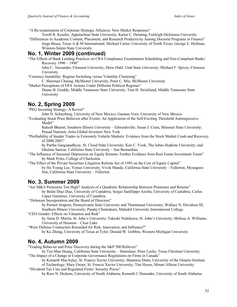"A Re-examination of Corporate Strategic Alliances: New Market Responses"

Terrill R. Keasler, Appalachian State University; Karen C. Denning, Fairleigh Dickinson University

"Differences in Academic Content, Placement, and Research Productivity Among Doctoral Programs in Finance" Jorge Brusa, Texas A & M International; Michael Carter, University of North Texas; George E. Heilman, Winston-Salem State University

## **No. 1, Winter 2009 (continued)**

"The Effects of Bank Lending Practices on CRA Compliance Examination Scheduling and Non-Compliant Banks' Recovery 1990 – 1998"

John C. Alexander, Clemson University; Drew Dahl, Utah State University; Michael F. Spivey, Clemson University

"Currency Instability: Regime Switching versus Volatility Clustering"

C. Sherman Cheung, McMaster University; Peter C. Miu, McMaster University

"Market Perceptions of EPA Actions Under Different Political Regimes"

Duane B. Graddy, Middle Tennessee State University; Tom H. Strickland, Middle Tennessee State University

## **No. 2, Spring 2009**

"PEG Investing Strategy: A Revisit"

John D. Schatzberg, University of New Mexico; Gautam Vora, University of New Mexico

"Evaluating Stock Price Behavior after Events: An Application of the Self-Exciting Threshold Autoregressive Model"

Rakesh Bharati, Southern Illinois University – Edwardsville; Susan J. Crain, Missouri State University; Prasad Nanisett, Artio Global Investors New York

"Profitability of Insider Trades in Extremely Volatile Markets: Evidence from the Stock Market Crash and Recovery of 2000-2003"

by Partha Gangopadhyay, St. Cloud State University; Ken C. Yook, The Johns Hopkins University; and Ghulam Sarwar, California State University – San Bernardino

"The Influence of Seasonal Depression on Equity Returns: Further Evidence from Real Estate Investment Trusts" by Mark Pyles, College of Charleston

"The Effect of the Private Securities Litigation Reform Act of 1995 on the Cost of Equity Capital" by Ho Young Lee, Yonsei University; Vivek Mande, California State University – Fullerton; Myungsoo Son, California State University – Fullerton

## **No. 3, Summer 2009**

"Are M&A Premiums Too High? Analysis of a Quadratic Relationship Between Premiums and Returns" by Belén Díaz Díaz, University of Cantabria; Sergio Sanfilippo Azofra, University of Cantabria; Carlos López Gutiérrez, University of Cantabria

"Delaware Incorporation and the Board of Directors"

by Pornsit Jiraporn, Pennsylvania State University and Thammasat University; Wallace N. Davidson III, Southern Illinois University; Pandej Chintrakarn, Mahidol University International College

"CEO Gender: Effects on Valuation and Risk"

by Anna D. Martin, St. John's University; Takeshi Nishikawa, St. John's University; Melissa A. Williams, University of Houston – Clear Lake

"Were Defense Contractors Rewarded for Risk, Innovation, and Influence?"

by Ke Zhong, University of Texas at Tyler; Donald W. Gribbin, Western Michigan University

## **No. 4, Autumn 2009**

"Trading Behavior and Price Discovery during the S&P 500 Rollover"

by Tzu-Man Huang, California State University – Stanislaus; Peter Locke, Texas Christian University "The Impact of a Change in Corporate Governance Regulations on Firms in Canada"

by Kenneth MacAulay, St. Francis Xavier University; Shantanu Dutta, University of the Ontario Institute

of Technology; Mary Oxner, St. Francis Xavier University; Tim Hynes, Mount Allison University "Dividend Tax Cuts and Regulated Firms' Security Prices"

by Ross N. Dickens, University of South Alabama; Kenneth J. Hunsader, University of South Alabama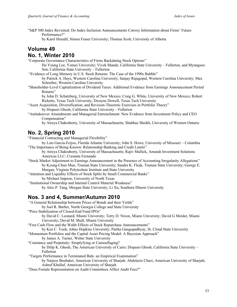"S&P 500 Index Revisited: Do Index Inclusion Announcements Convey Information about Firms' Future Performance?"

by Karel Hrazdil, Simon Fraser University; Thomas Scott, University of Alberta

#### **Volume 49 No. 1, Winter 2010**

"Corporate Governance Characteristics of Firms Backdating Stock Options"

Ho Young Lee, Yonsei University; Vivek Mande, California State University – Fullerton, and Myungsoo Son, California State University – Fullerton

"Evidence of Long Memory in U.S. Stock Returns: The Case of the 1990s Bubble"

by Patrick A. Hays, Western Carolina University; Sanjay Rajagopal, Western Carolina University; Max Schreiber, Western Carolina University

"Shareholder-Level Capitalization of Dividend Taxes: Additional Evidence from Earnings Announcement Period Returns"

by John D. Schatzberg, University of New Mexico; Craig G. White, University of New Mexico; Robert Ricketts, Texas Tech University; Dwayne Dowell, Texas Tech University

"Asset Acquisition, Diversification, and Revision-Theoretic Exercises in Portfolio Theory"

by Dispasri Ghosh, California State University – Fullerton

"Antitakeover Amendments and Managerial Entrenchment: New Evidence from Investment Policy and CEO Compensation"

by Atreya Chakraborty, University of Massachusetts; Shahbaz Sheikh, University of Western Ontario

## **No. 2, Spring 2010**

"Financial Contracting and Managerial Flexibility"

by Luis Garcia-Feijoo, Florida Atlantic University; John S. Howe, University of Missouri - Columbia "The Importance of Being Known: Relationship Banking and Credit Limits"

by Atreya Chakraborty, University of Massachusetts; Rajiv Mallick, Amundi Investment Solutions Americas LLC; Cresanta Fernando

- "Stock Market Adjustment to Earnings Announcement in the Presence of Accounting Irregularity Allegations" by Kyung-Chun Mun, Truman State University; Sandra K. Fleak, Truman State University; George E. Morgan, Virginia Polytechnic Institute and State University
- "Attention and Liquidity Effects of Stock Splits by Small Commercial Banks"

by Michael Impson, University of North Texas

"Institutional Ownership and Internal Control Material Weakness"

by Alex P. Tang, Morgan State University; Li Xu, Southern Illinois University

## **Nos. 3 and 4, Summer/Autumn 2010**

"A General Relationship between Prices of Bonds and their Yields"

by Joel R. Barber, North Georgia College and State University

"Price Stabilization of Closed-End Fund IPOs"

by David C. Leonard, Miami University; Terry D. Nixon, Miami University; David G Shrider, Miami University; David M. Shull, Miami University

"Free Cash Flow and the Walth Effects of Stock Repurchase Announcements"

by Ken C. Yook, Johns Hopkins University; Partha Gangopadhyay, St. Cloud State University

"Momentum Portfolios and the Capital Asset Pricing Model: A Bayesian Approach"

by James A. Turner, Weber State University

"Constancy and Perpetuity: Simplyfying or Camouflaging?

by Dilip K. Ghosh, The American University of Cairo; Dispasri Ghosh, California State University – Fullerton

"Targets Performance in Terminated Bids: an Empirical Examination"

by Narjess Boubakri, American University of Sharjah; Abdelaziz Chazi, American University of Sharjah; Ashraf Khallaf, American University of Sharjah

"Does Female Representation on Audit Committees Affect Audit Fees?"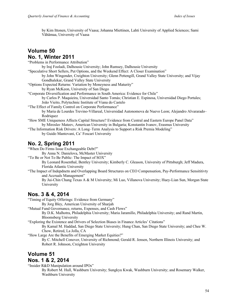by Kim Ittonen, University of Vaasa; Johanna Miettinen, Lahti University of Applied Sciences; Sami Vähämaa, University of Vaasa

## **Volume 50 No. 1, Winter 2011**

"Problems in Performance Attribution" by Iraj Fooladi, Dalhousie University; John Rumsey, Dalhousie University "Speculative Short Sellers, Put Options, and the Weekend Effect: A Closer Examination" by John Wingender, Creighton University; Glenn Pettengill, Grand Valley State University; and Vijay Gondhalekar, Grand Valley State University "Options Expected Returns: Variation by Moneyness and Maturity" by Ryan McKeon, University of San Diego "Corporate Diversification and Performance in South America: Evidence for Chile" by Carlos P. Maquieira, Universidad Santo Tomás; Christian E. Espinosa, Universidad Diego Portales; João Vieito, Polytechnic Institute of Viana do Castelo "The Effect of Family Control on Corporate Performance" by Maria de Lourdes Trevino-Villareal, Universidad Autonomova de Nuevo Leon; Alejandro Alvararado– **Rodriquez** "How SME Uniqueness Affects Capital Structure? Evidence from Central and Eastern Europe Panel Data" by Miroslav Mateev, American University in Bulgaria; Konstantin Ivanov, Erasmus University "The Information Risk Drivers: A Long–Term Analysis to Support a Risk Premia Modeling" by Guido Mantovani, Ca' Foscari University **No. 2, Spring 2011**

"When Do Firms Issue Exchangeable Debt?"

By Anna N. Danielova, McMaster University

"To Be or Not To Be Public: The Impact of SOX"

By Leonard Rosenthal, Bentley University; Kimberly C. Gleason, University of Pittsburgh; Jeff Madura, Florida Atlantic University

"The Impact of Indepdnetn and Overlapping Board Structures on CEO Compensation, Pay-Performance Sensititivty and Accruals Management"

By Jui-Chin Chang Texas A & M University; Mi Luo, Villanova University; Huey-Lian Sun, Morgan State University

## **Nos. 3 & 4, 2014**

"Timing of Equity Offerings: Evidence from Germany"

By Jorg Bley, American University of Sharjah

"Mutual Fund Governance, returns, Expenses, and Cash Flows"

By D.K. Malhotra, Philadelphia University; Maria Jaramillo, Philadelphia University; and Rand Martin, Bloomsberg University

"Exploring the Existence and Drivers of Selection Biases in Finance Articles' Citations"

By Kamal M. Haddad, San Diego State University; Hung Chan, San Diego State University; and Chee W. Chow, Retired, La Jolla, CA

"How Large Are the Benefits of Emerging Market Equities?"

By C. Mitchell Conover, University of Richmond; Gerald R. Jensen, Northern Illinois University; and Robert R. Johnson, Creighton University

# **Volume 51**

## **Nos. 1 & 2, 2014**

"Insider R&D Manipulation around IPOs"

By Robert M. Hull, Washburn University; Sungkyu Kwak, Washburn University; and Rosemary Walker, Washburn University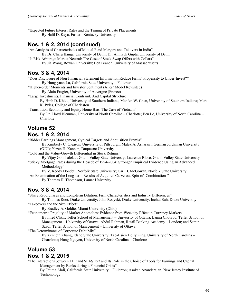"Expected Future Interest Rates and the Timing of Private Placements"

By Halil D. Kaya, Eastern Kentucky University

## **Nos. 1 & 2, 2014 (continued)**

"An Analysis of Characteristics of Mutual Fund Mergers and Takovers in India"

- By Dr. Charu Banga, University of Delhi; Dr. Amitabh Gupta, University of Delhi
- "Is Risk Arbitrage Market Neutral: The Case of Stock Swap Offers with Collars" By Jia Wang, Rowan University; Ben Branch, University of Massachusetts

## **Nos. 3 & 4, 2014**

"Does Disclosure of Non-Financial Statement Information Reduce Firms' Propensity to Under-Invest?" By Hung-yuan Lu, California State University – Fullerton

"Higher-order Moments and Investor Sentiment (Alles' Model Revisited)

By Alain Frugier, University of Auvergne (France)

"Large Investments, Financial Contraint, And Capital Structure

By Hinh D. Khieu, University of Southern Indiana; Manfen W. Chen, University of Southern Indiana; Mark K. Pyles, College of Charleston

"Transitition Economy and Equity Home Bias: The Case of Vietnam"

By Dr. Lloyd Blenman, University of North Carolina – Charlotte; Ben Le, University of North Carolina – Charlotte

#### **Volume 52 Nos. 1 & 2, 2014**

"Bidder Earnings Management, Cynical Targets and Acquisition Premia"

By Kimberly C. Gleason, University of Pittsburgh; Malek A. Asharairi, German Jordanian University (GJU); Yezen H. Kannan, Duquesne University

"Gold and the Value-Growth Differential in Stock Returns"

By Vijay Gondhalekar, Grand Valley State Universiy; Laurence Blose, Grand Valley State University

"Sticky Mortgage Rates during the Deacde of 1994-2004: Stronger Empirical Evidence Using an Advanced Methodology"

By V. Reddy Dondeti, Norfolk State University; Carl B. McGowan, Norfolk State University "An Examination of the Long-term Results of Acquired Carve-out Spin-off Combinations"

By Thomas H. Thompson, Lamar University

## **Nos. 3 & 4, 2014**

"Share Repurchases and Long-term Dilution: Firm Characteristics and Industry Differences"

By Thomas Root, Drake University; John Rozycki, Drake University; Inchul Suh, Drake University "Takeovers and the Size Effect"

By Bradley A. Goldie, Miami University (Ohio)

"Econometric Fragility of Market Anomalies: Evidence from Weekday Effect in Currency Markets" By Imed Chkir, Telfer School of Management – University of Ottawa; Lamia Chourou, Telfer School of Management – University of Ottawa; Abdul Rahman, Retail Banking Academy – London; and Samir Saadi, Telfer School of Management – University of Ottawa

"The Determinants of Corporate Debt Mix"

By Kenneth Khang, Idaho State University; Tao-Hsien Dolly King, University of North Carolina – Charolotte; Hung Nguyen, University of North Carolina – Charlotte

## **Volume 53 Nos. 1 & 2, 2015**

"The Interactions between LLP and SFAS 157 and Its Role in the Choice of Tools for Earnings and Capital Management by Banks during a Financial Crisis"

By Fatima Alali, California State University – Fullerton; Asokan Anandarajan, New Jersey Institute of Techonology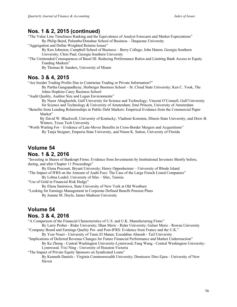## **Nos. 1 & 2, 2015 (continued)**

"The Value Line Timeliness Ranking and the Equivalence of Analyst Forecasts and Market Expectations" By Philip Baird, Palumbo/Donahue School of Business – Duquesne University

"Aggregation and Dollar-Weighted Returns Issues"

By Ken Johnston, Campbell School of Business – Berry College; John Hatem, Georgia Southern University; Chris Paul, Georgia Southern University

"The Unintended Consequences of Basel III: Reducing Performance Ratios and Limiting Bank Access to Equity Funding Markets"

By Thomas B. Sanders, University of Miami

#### **Nos. 3 & 4, 2015**

"Are Insider Trading Profits Due to Contrarian Trading or Private Information?"

By Partha Gangopadhyay, Herberger Business School – St. Cloud State University; Ken C. Yook, The Johns Hopkins Carey Business School

"Audit Quality, Auditor Size and Legan Environments"

By Naser Abughazleh, Gulf University for Science and Technology; Vincent O'Connell, Gulf University for Science and Technology & University of Amsterdam; Jimé Princen, University of Amsterdam

"Benefits from Lending Relationships in Public Debt Markets: Empirical Evidence from the Commercial Paper Market"

By David W. Blackwell, University of Kentucky; Vladimir Kotomin, Illinois State University; and Drew B. Winters, Texas Tech University

"Worth Waiting For – Evidence of Late-Mover Benefits in Cross-Border Mergers and Acquisitions" By Tanja Steigner, Emporia State University, and Ninon K. Sutton, University of Florida

## **Volume 54**

#### **Nos. 1 & 2, 2016**

"Investing in Shares of Bankrupt Firms: Evidence from Investments by Institutional Investors Shortly before, during, and after Chapter 11 Proceedings"

By Elena Precourt, Bryant University; Henry Oppenheimer – University of Rhode Island "The Impact of IFRS on the Amount of Audit Fees: The Case of the Large French Listed Companies"

By Lobna Loukil, University of Sfax – Sfax, Tunisia

"Use of Gold in Financial Risk Hedge"

By Elena Smirnova, State University of New York at Old Westbury

"Looking for Earnings Management in Corporate Defined Benefit Pension Plans

By Joanne M. Doyle, James Madison University

#### **Volume 54 Nos. 3 & 4, 2016**

"A Comparison of the Financial Characteristics of U.S. and U.K. Manufacturing Firms"

By Larry Prober - Rider University; Ilhan Meric - Rider University; Gulser Meric - Rowan University "Company Board and Earnings Quality Pre- and Post-IFRS: Evidence from France and the U.K."

- By Yosr Nouri University of Tunis El Manar; Ezzeddine Abaoub Taif University
- "Implications of Deferred Revenue Changes for Future Financial Performance and Market Underreaction"

By Ke Zhong - Central Washington University-Lynnwood; Fang Wang - Central Washington University-Lynnwood; Yixi Ning - University of Houston-Victoria

"The Impact of Private Equity Sponsors on Syndicated Loans"

By Kenneth Daniels - Virginia Commonwealth University; Demissew Diro Ejara - University of New Haven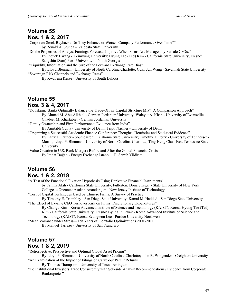## **Volume 55 Nos. 1 & 2, 2017**

"Corporate Stock Buybacks-Do They Enhance or Worsen Company Performance Over Time?" by Ronald A. Stunda – Valdosta State University

"Do the Properties of Analyst Earnings Forecasts Improve When Firms Are Managed by Female CFOs?" By Induck Hwang - Keimyung University; Hyung Tae (Ted) Kim - California State University, Fresno; Sangshin (Sam) Pae - University of North Georgia

"Liquidity, Information and the Size of the Forward Exchange Rate Bias"

By Lloyd Blenman - University of North Carolina Charlotte; Guan Jun Wang - Savannah State University "Sovereign Risk Channels and Exchange Rates"

By Kwabena Kesse - University of South Dakota

# **Volume 55**

#### **Nos. 3 & 4, 2017**

"Do Islamic Banks Optimally Balance the Trade-Off in Capital Structure Mix? A Comparison Approach" By Ahmad M. Abu-Alkheil - German Jordanian University; Walayet A. Khan - University of Evansville; Ghadeer M. Khartabiel - German Jordanian University

"Family Ownership and Firm Performance: Evidence from India"

By Amitabh Gupta - University of Delhi; Tripti Nashier - University of Delhi

"Organizing a Successful Academic Finance Conference: Thoughts, Heuristics and Statistical Evidence" By Larry J. Prather - Southeastern Oklahoma State University; Timothy T. Perry - University of Tennessee-Martin; Lloyd P. Blenman - University of North Carolina-Charlotte; Ting-Heng Chu - East Tennessee State University

"Value Creation in U.S. Bank Mergers Before and After the Global Financial Crisis" By İmdat Doğan - Energy Exchange Istanbul; H. Semih Yildirim

#### **Volume 56 Nos. 1 & 2, 2018**

"A Test of the Functional Fixation Hypothesis Using Derivative Financial Instruments" by Fatima Alali - California State University, Fullerton; Dona Siregar - State University of New York College at Oneonta; Asokan Anandarajan - New Jersey Institute of Technology

"Cost of Capital Techniques Used by Chinese Firms: A Survey of Practice"

By Timothy E. Trombley - San Diego State University; Kamal M. Haddad - San Diego State University "The Effect of Ex-ante CEO Turnover Risk on Firms' Discretionary Expenditures"

By Changu Kim - Korea Advanced Institute of Science and Technology (KAIST), Korea; Hyung Tae (Ted) Kim - California State University, Fresno; Byungjin Kwak - Korea Advanced Institute of Science and Technology (KAIST), Korea; Seungwon Lee - Purdue University Northwest

"Mean Variance under Stress—Ten Years of Portfolio Optimizations 2001-2011" By Manuel Tarrazo - University of San Francisco

#### **Volume 57 Nos. 1 & 2, 2019**

"Retrospective, Perspective and Optimal Global Asset Pricing"

By Lloyd P. Blenman - University of North Carolina, Charlotte; John R. Wingender - Creighton University "An Examination of the Impact of Filings on Carve-out Parent Returns"

By Thomas Thompson - University of Texas-Arlington

"Do Institutional Investors Trade Consistently with Sell-side Analyst Recommendations? Evidence from Corporate Bankruptcies"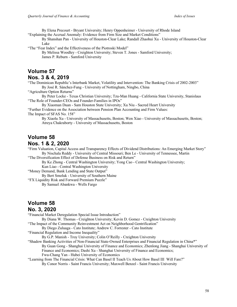By Elena Precourt - Bryant University; Henry Oppenheimer - University of Rhode Island "Explaining the Accrual Anomaly: Evidence from Firm Size and Market Conditions"

By Shanshan Pan - University of Houston-Clear Lake; Randall Zhaohui Xu - University of Houston-Clear Lake

"The "Fear Index" and the Effectiveness of the Piotroski Model"

By Melissa Woodley - Creighton University; Steven T. Jones - Samford University; James P. Reburn - Samford University

#### **Volume 57 Nos. 3 & 4, 2019**

"The Dominican Republic's Interbank Market, Volatility and Intervention: The Banking Crisis of 2002-2003" By José R. Sánchez-Fung - University of Nottingham, Ningbo, China

"Agriculture Option Returns"

By Peter Locke - Texas Christian University; Tzu-Man Huang - California State University, Stanislaus "The Role of Founder-CEOs and Founder-Families in IPOs"

By Xiaoman Duan - Sam Houston State University; Xu Niu - Sacred Heart University "Further Evidence on the Association between Pension Plan Accounting and Firm Values: The Impact of SFAS No. 158"

By Xiaolu Xu - University of Massachusetts, Boston; Wen Xiao - University of Massachusetts, Boston; Atreya Chakraborty - University of Massachusetts, Boston

# **Volume 58**

#### **Nos. 1 & 2, 2020**

"Firm Valuation, Capital Access and Transparency Effects of Dividend Distributions: An Emerging Market Story" By Nischala Reddy - University of Central Missouri; Ben Le - University of Tennessee, Martin

"The Diversification Effect of Defense Business on Risk and Return"

By Ke Zhong - Central Washington University; Yong Cao - Central Washington University; Kun Liao - Central Washington University

"Money Demand, Bank Lending and State Output"

By Bert Smoluk - University of Southern Maine

"FX Liquidity Risk and Forward Premium Puzzle" By Samuel Abankwa - Wells Fargo

## **Volume 58**

#### **No. 3, 2020**

"Financial Market Deregulation Special Issue Introduction"

By Diana W. Thomas - Creighton University; Kevin D. Gomez - Creighton University

"The Impact of the Community Reinvestment Act on Neighborhood Gentrification"

By Diego Zuluaga - Cato Institute; Andrew C. Forrester - Cato Institute

"Financial Regulation and Income Inequality"

By G.P. Manish - Troy University; Colin O'Reilly - Creighton University

"Shadow Banking Activities of Non-Financial State-Owned Enterprises and Financial Regulation in China\*" By Guan Gong - Shanghai University of Finance and Economics; Zhenlong Jiang - Shanghai University of Finance and Economics; Dashi Xu - Shanghai University of Finance and Economics; Fwu-Chang Yan - Hubei University of Economics

"Learning from The Financial Crisis: What Can Basel II Teach Us About How Basel III Will Fare?" By Conor Norris - Saint Francis University; Maxwell Benzel - Saint Francis University